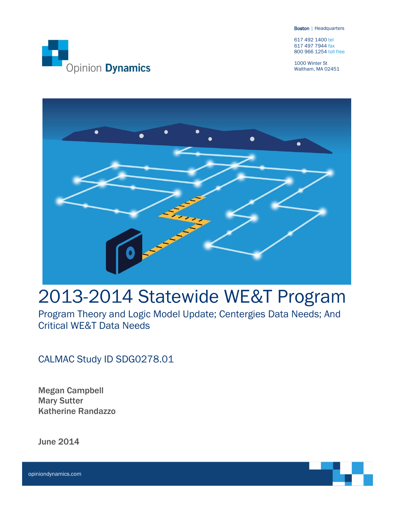Boston | Headquarters

617 492 1400 tel 617 497 7944 fax 800 966 1254 toll free

1000 Winter St Waltham, MA 02451





# 2013-2014 Statewide WE&T Program

Program Theory and Logic Model Update; Centergies Data Needs; And Critical WE&T Data Needs

CALMAC Study ID SDG0278.01

Megan Campbell Mary Sutter Katherine Randazzo

June 2014

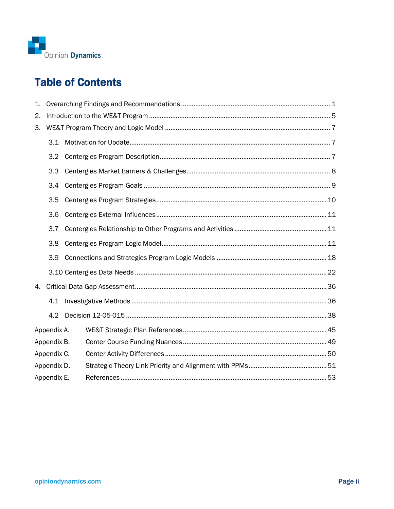

## **Table of Contents**

| 1. |             |  |  |  |  |  |  |
|----|-------------|--|--|--|--|--|--|
| 2. |             |  |  |  |  |  |  |
| З. |             |  |  |  |  |  |  |
|    | 3.1         |  |  |  |  |  |  |
|    | 3.2         |  |  |  |  |  |  |
|    | 3.3         |  |  |  |  |  |  |
|    | 3.4         |  |  |  |  |  |  |
|    | 3.5         |  |  |  |  |  |  |
|    | 3.6         |  |  |  |  |  |  |
|    | 3.7         |  |  |  |  |  |  |
|    | 3.8         |  |  |  |  |  |  |
|    | 3.9         |  |  |  |  |  |  |
|    |             |  |  |  |  |  |  |
| 4. |             |  |  |  |  |  |  |
|    | 4.1         |  |  |  |  |  |  |
|    | 4.2         |  |  |  |  |  |  |
|    | Appendix A. |  |  |  |  |  |  |
|    | Appendix B. |  |  |  |  |  |  |
|    | Appendix C. |  |  |  |  |  |  |
|    | Appendix D. |  |  |  |  |  |  |
|    | Appendix E. |  |  |  |  |  |  |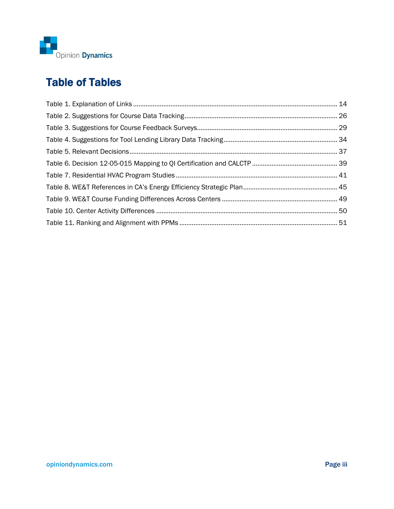

## Table of Tables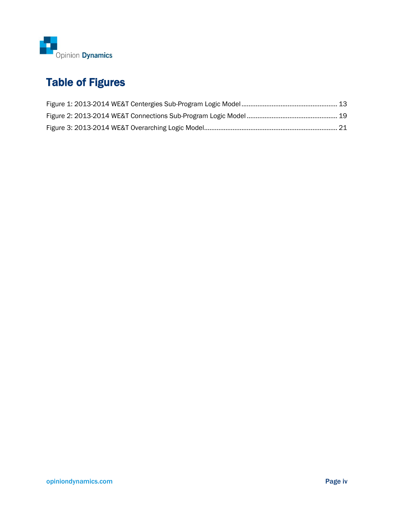

## Table of Figures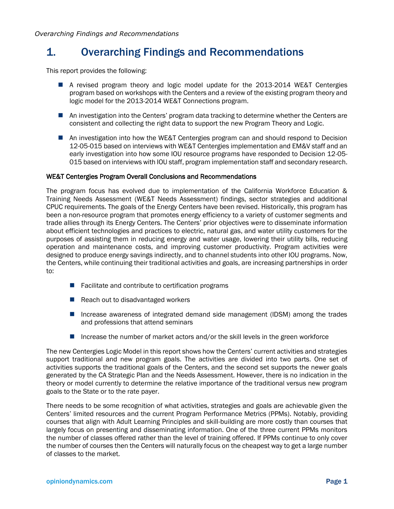## <span id="page-4-0"></span>1. Overarching Findings and Recommendations

This report provides the following:

- A revised program theory and logic model update for the 2013-2014 WE&T Centergies program based on workshops with the Centers and a review of the existing program theory and logic model for the 2013-2014 WE&T Connections program.
- **A** An investigation into the Centers' program data tracking to determine whether the Centers are consistent and collecting the right data to support the new Program Theory and Logic.
- An investigation into how the WE&T Centergies program can and should respond to Decision 12-05-015 based on interviews with WE&T Centergies implementation and EM&V staff and an early investigation into how some IOU resource programs have responded to Decision 12-05- 015 based on interviews with IOU staff, program implementation staff and secondary research.

#### WE&T Centergies Program Overall Conclusions and Recommendations

The program focus has evolved due to implementation of the California Workforce Education & Training Needs Assessment (WE&T Needs Assessment) findings, sector strategies and additional CPUC requirements. The goals of the Energy Centers have been revised. Historically, this program has been a non-resource program that promotes energy efficiency to a variety of customer segments and trade allies through its Energy Centers. The Centers' prior objectives were to disseminate information about efficient technologies and practices to electric, natural gas, and water utility customers for the purposes of assisting them in reducing energy and water usage, lowering their utility bills, reducing operation and maintenance costs, and improving customer productivity. Program activities were designed to produce energy savings indirectly, and to channel students into other IOU programs. Now, the Centers, while continuing their traditional activities and goals, are increasing partnerships in order to:

- $\blacksquare$  Facilitate and contribute to certification programs
- $\blacksquare$  Reach out to disadvantaged workers
- Increase awareness of integrated demand side management (IDSM) among the trades and professions that attend seminars
- Increase the number of market actors and/or the skill levels in the green workforce

The new Centergies Logic Model in this report shows how the Centers' current activities and strategies support traditional and new program goals. The activities are divided into two parts. One set of activities supports the traditional goals of the Centers, and the second set supports the newer goals generated by the CA Strategic Plan and the Needs Assessment. However, there is no indication in the theory or model currently to determine the relative importance of the traditional versus new program goals to the State or to the rate payer.

There needs to be some recognition of what activities, strategies and goals are achievable given the Centers' limited resources and the current Program Performance Metrics (PPMs). Notably, providing courses that align with Adult Learning Principles and skill-building are more costly than courses that largely focus on presenting and disseminating information. One of the three current PPMs monitors the number of classes offered rather than the level of training offered. If PPMs continue to only cover the number of courses then the Centers will naturally focus on the cheapest way to get a large number of classes to the market.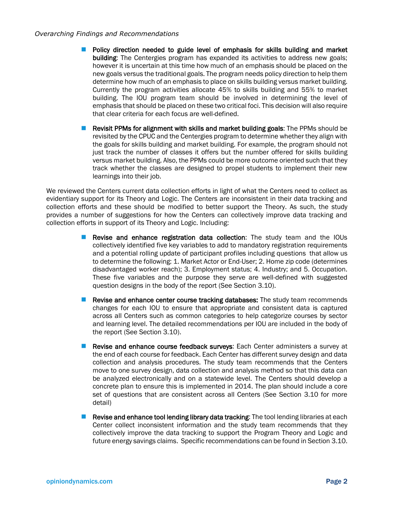#### *Overarching Findings and Recommendations*

- **Policy direction needed to guide level of emphasis for skills building and market** building: The Centergies program has expanded its activities to address new goals; however it is uncertain at this time how much of an emphasis should be placed on the new goals versus the traditional goals. The program needs policy direction to help them determine how much of an emphasis to place on skills building versus market building. Currently the program activities allocate 45% to skills building and 55% to market building. The IOU program team should be involved in determining the level of emphasis that should be placed on these two critical foci. This decision will also require that clear criteria for each focus are well-defined.
- **Revisit PPMs for alignment with skills and market building goals:** The PPMs should be revisited by the CPUC and the Centergies program to determine whether they align with the goals for skills building and market building. For example, the program should not just track the number of classes it offers but the number offered for skills building versus market building. Also, the PPMs could be more outcome oriented such that they track whether the classes are designed to propel students to implement their new learnings into their job.

We reviewed the Centers current data collection efforts in light of what the Centers need to collect as evidentiary support for its Theory and Logic. The Centers are inconsistent in their data tracking and collection efforts and these should be modified to better support the Theory. As such, the study provides a number of suggestions for how the Centers can collectively improve data tracking and collection efforts in support of its Theory and Logic. Including:

- Revise and enhance registration data collection: The study team and the IOUs collectively identified five key variables to add to mandatory registration requirements and a potential rolling update of participant profiles including questions that allow us to determine the following: 1. Market Actor or End-User; 2. Home zip code (determines disadvantaged worker reach); 3. Employment status; 4. Industry; and 5. Occupation. These five variables and the purpose they serve are well-defined with suggested question designs in the body of the report (See Section 3.10).
- Revise and enhance center course tracking databases: The study team recommends changes for each IOU to ensure that appropriate and consistent data is captured across all Centers such as common categories to help categorize courses by sector and learning level. The detailed recommendations per IOU are included in the body of the report (See Section 3.10).
- Revise and enhance course feedback surveys: Each Center administers a survey at the end of each course for feedback. Each Center has different survey design and data collection and analysis procedures. The study team recommends that the Centers move to one survey design, data collection and analysis method so that this data can be analyzed electronically and on a statewide level. The Centers should develop a concrete plan to ensure this is implemented in 2014. The plan should include a core set of questions that are consistent across all Centers (See Section 3.10 for more detail)
- **Revise and enhance tool lending library data tracking:** The tool lending libraries at each Center collect inconsistent information and the study team recommends that they collectively improve the data tracking to support the Program Theory and Logic and future energy savings claims. Specific recommendations can be found in Sectio[n 3.10.](#page-25-0)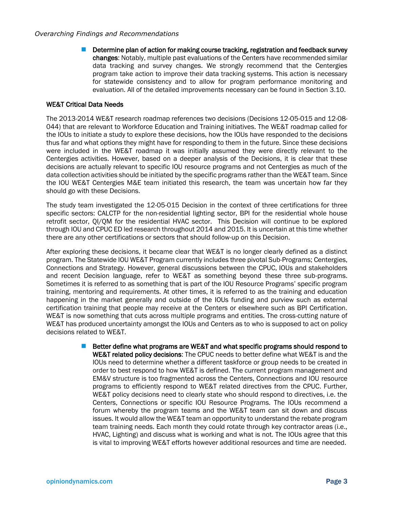Determine plan of action for making course tracking, registration and feedback survey changes: Notably, multiple past evaluations of the Centers have recommended similar data tracking and survey changes. We strongly recommend that the Centergies program take action to improve their data tracking systems. This action is necessary for statewide consistency and to allow for program performance monitoring and evaluation. All of the detailed improvements necessary can be found in Section [3.10.](#page-25-0)

#### WE&T Critical Data Needs

The 2013-2014 WE&T research roadmap references two decisions (Decisions 12-05-015 and 12-08- 044) that are relevant to Workforce Education and Training initiatives. The WE&T roadmap called for the IOUs to initiate a study to explore these decisions, how the IOUs have responded to the decisions thus far and what options they might have for responding to them in the future. Since these decisions were included in the WE&T roadmap it was initially assumed they were directly relevant to the Centergies activities. However, based on a deeper analysis of the Decisions, it is clear that these decisions are actually relevant to specific IOU resource programs and not Centergies as much of the data collection activities should be initiated by the specific programs rather than the WE&T team. Since the IOU WE&T Centergies M&E team initiated this research, the team was uncertain how far they should go with these Decisions.

The study team investigated the 12-05-015 Decision in the context of three certifications for three specific sectors: CALCTP for the non-residential lighting sector, BPI for the residential whole house retrofit sector, QI/QM for the residential HVAC sector. This Decision will continue to be explored through IOU and CPUC ED led research throughout 2014 and 2015. It is uncertain at this time whether there are any other certifications or sectors that should follow-up on this Decision.

After exploring these decisions, it became clear that WE&T is no longer clearly defined as a distinct program. The Statewide IOU WE&T Program currently includes three pivotal Sub-Programs; Centergies, Connections and Strategy. However, general discussions between the CPUC, IOUs and stakeholders and recent Decision language, refer to WE&T as something beyond these three sub-programs. Sometimes it is referred to as something that is part of the IOU Resource Programs' specific program training, mentoring and requirements. At other times, it is referred to as the training and education happening in the market generally and outside of the IOUs funding and purview such as external certification training that people may receive at the Centers or elsewhere such as BPI Certification. WE&T is now something that cuts across multiple programs and entities. The cross-cutting nature of WE&T has produced uncertainty amongst the IOUs and Centers as to who is supposed to act on policy decisions related to WE&T.

> Better define what programs are WE&T and what specific programs should respond to WE&T related policy decisions: The CPUC needs to better define what WE&T is and the IOUs need to determine whether a different taskforce or group needs to be created in order to best respond to how WE&T is defined. The current program management and EM&V structure is too fragmented across the Centers, Connections and IOU resource programs to efficiently respond to WE&T related directives from the CPUC. Further, WE&T policy decisions need to clearly state who should respond to directives, i.e. the Centers, Connections or specific IOU Resource Programs. The IOUs recommend a forum whereby the program teams and the WE&T team can sit down and discuss issues. It would allow the WE&T team an opportunity to understand the rebate program team training needs. Each month they could rotate through key contractor areas (i.e., HVAC, Lighting) and discuss what is working and what is not. The IOUs agree that this is vital to improving WE&T efforts however additional resources and time are needed.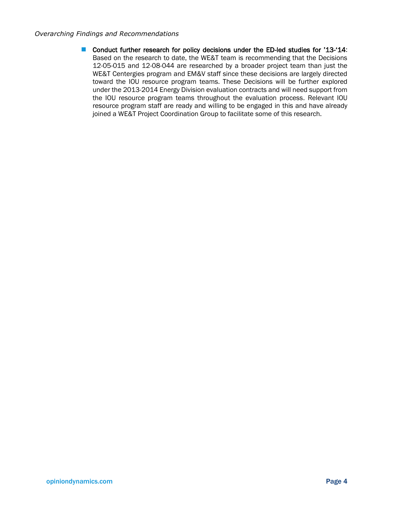#### *Overarching Findings and Recommendations*

■ Conduct further research for policy decisions under the ED-led studies for '13-'14: Based on the research to date, the WE&T team is recommending that the Decisions 12-05-015 and 12-08-044 are researched by a broader project team than just the WE&T Centergies program and EM&V staff since these decisions are largely directed toward the IOU resource program teams. These Decisions will be further explored under the 2013-2014 Energy Division evaluation contracts and will need support from the IOU resource program teams throughout the evaluation process. Relevant IOU resource program staff are ready and willing to be engaged in this and have already joined a WE&T Project Coordination Group to facilitate some of this research.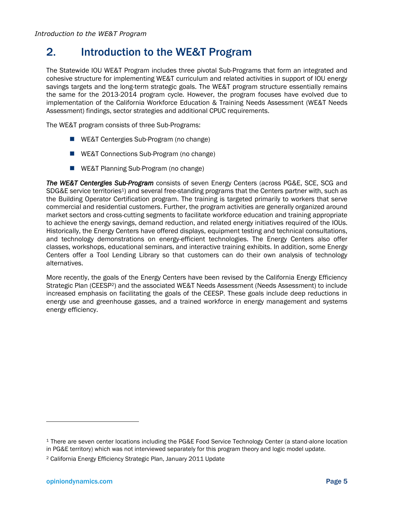## <span id="page-8-0"></span>2. Introduction to the WE&T Program

The Statewide IOU WE&T Program includes three pivotal Sub-Programs that form an integrated and cohesive structure for implementing WE&T curriculum and related activities in support of IOU energy savings targets and the long-term strategic goals. The WE&T program structure essentially remains the same for the 2013-2014 program cycle. However, the program focuses have evolved due to implementation of the California Workforce Education & Training Needs Assessment (WE&T Needs Assessment) findings, sector strategies and additional CPUC requirements.

The WE&T program consists of three Sub-Programs:

- WE&T Centergies Sub-Program (no change)
- WE&T Connections Sub-Program (no change)
- **WE&T Planning Sub-Program (no change)**

*The WE&T Centergies Sub-Program* consists of seven Energy Centers (across PG&E, SCE, SCG and SDG&E service territories<sup>1</sup>) and several free-standing programs that the Centers partner with, such as the Building Operator Certification program. The training is targeted primarily to workers that serve commercial and residential customers. Further, the program activities are generally organized around market sectors and cross-cutting segments to facilitate workforce education and training appropriate to achieve the energy savings, demand reduction, and related energy initiatives required of the IOUs. Historically, the Energy Centers have offered displays, equipment testing and technical consultations, and technology demonstrations on energy-efficient technologies. The Energy Centers also offer classes, workshops, educational seminars, and interactive training exhibits. In addition, some Energy Centers offer a Tool Lending Library so that customers can do their own analysis of technology alternatives.

More recently, the goals of the Energy Centers have been revised by the California Energy Efficiency Strategic Plan (CEESP2) and the associated WE&T Needs Assessment (Needs Assessment) to include increased emphasis on facilitating the goals of the CEESP. These goals include deep reductions in energy use and greenhouse gasses, and a trained workforce in energy management and systems energy efficiency.

<sup>1</sup> There are seven center locations including the PG&E Food Service Technology Center (a stand-alone location in PG&E territory) which was not interviewed separately for this program theory and logic model update.

<sup>2</sup> California Energy Efficiency Strategic Plan, January 2011 Update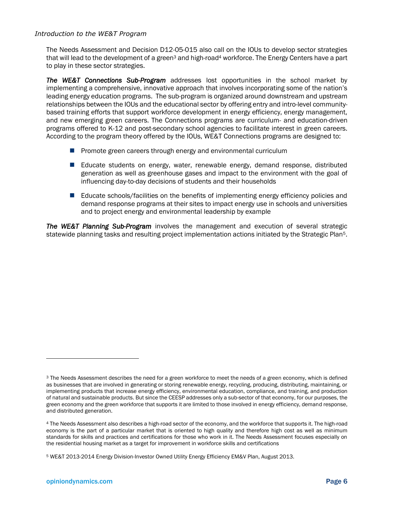#### *Introduction to the WE&T Program*

The Needs Assessment and Decision D12-05-015 also call on the IOUs to develop sector strategies that will lead to the development of a green<sup>3</sup> and high-road<sup>4</sup> workforce. The Energy Centers have a part to play in these sector strategies.

*The WE&T Connections Sub-Program* addresses lost opportunities in the school market by implementing a comprehensive, innovative approach that involves incorporating some of the nation's leading energy education programs. The sub-programis organized around downstream and upstream relationships between the IOUs and the educational sector by offering entry and intro-level communitybased training efforts that support workforce development in energy efficiency, energy management, and new emerging green careers. The Connections programs are curriculum- and education-driven programs offered to K-12 and post-secondary school agencies to facilitate interest in green careers. According to the program theory offered by the IOUs, WE&T Connections programs are designed to:

- $\blacksquare$  Promote green careers through energy and environmental curriculum
- **E** Educate students on energy, water, renewable energy, demand response, distributed generation as well as greenhouse gases and impact to the environment with the goal of influencing day-to-day decisions of students and their households
- Educate schools/facilities on the benefits of implementing energy efficiency policies and demand response programs at their sites to impact energy use in schools and universities and to project energy and environmental leadership by example

*The WE&T Planning Sub-Program* involves the management and execution of several strategic statewide planning tasks and resulting project implementation actions initiated by the Strategic Plan5.

<sup>&</sup>lt;sup>3</sup> The Needs Assessment describes the need for a green workforce to meet the needs of a green economy, which is defined as businesses that are involved in generating or storing renewable energy, recycling, producing, distributing, maintaining, or implementing products that increase energy efficiency, environmental education, compliance, and training, and production of natural and sustainable products. But since the CEESP addresses only a sub-sector of that economy, for our purposes, the green economy and the green workforce that supports it are limited to those involved in energy efficiency, demand response, and distributed generation.

<sup>4</sup> The Needs Assessment also describes a high-road sector of the economy, and the workforce that supports it. The high-road economy is the part of a particular market that is oriented to high quality and therefore high cost as well as minimum standards for skills and practices and certifications for those who work in it. The Needs Assessment focuses especially on the residential housing market as a target for improvement in workforce skills and certifications

<sup>5</sup> WE&T 2013-2014 Energy Division-Investor Owned Utility Energy Efficiency EM&V Plan, August 2013.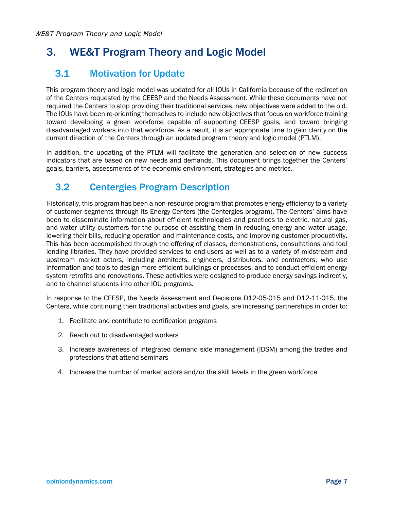## <span id="page-10-1"></span><span id="page-10-0"></span>3.1 Motivation for Update

This program theory and logic model was updated for all IOUs in California because of the redirection of the Centers requested by the CEESP and the Needs Assessment. While these documents have not required the Centers to stop providing their traditional services, new objectives were added to the old. The IOUs have been re-orienting themselves to include new objectives that focus on workforce training toward developing a green workforce capable of supporting CEESP goals, and toward bringing disadvantaged workers into that workforce. As a result, it is an appropriate time to gain clarity on the current direction of the Centers through an updated program theory and logic model (PTLM).

In addition, the updating of the PTLM will facilitate the generation and selection of new success indicators that are based on new needs and demands. This document brings together the Centers' goals, barriers, assessments of the economic environment, strategies and metrics.

## <span id="page-10-2"></span>3.2 Centergies Program Description

Historically, this program has been a non-resource program that promotes energy efficiency to a variety of customer segments through its Energy Centers (the Centergies program). The Centers' aims have been to disseminate information about efficient technologies and practices to electric, natural gas, and water utility customers for the purpose of assisting them in reducing energy and water usage, lowering their bills, reducing operation and maintenance costs, and improving customer productivity. This has been accomplished through the offering of classes, demonstrations, consultations and tool lending libraries. They have provided services to end-users as well as to a variety of midstream and upstream market actors, including architects, engineers, distributors, and contractors, who use information and tools to design more efficient buildings or processes, and to conduct efficient energy system retrofits and renovations. These activities were designed to produce energy savings indirectly, and to channel students into other IOU programs.

In response to the CEESP, the Needs Assessment and Decisions D12-05-015 and D12-11-015, the Centers, while continuing their traditional activities and goals, are increasing partnerships in order to:

- 1. Facilitate and contribute to certification programs
- 2. Reach out to disadvantaged workers
- 3. Increase awareness of integrated demand side management (IDSM) among the trades and professions that attend seminars
- 4. Increase the number of market actors and/or the skill levels in the green workforce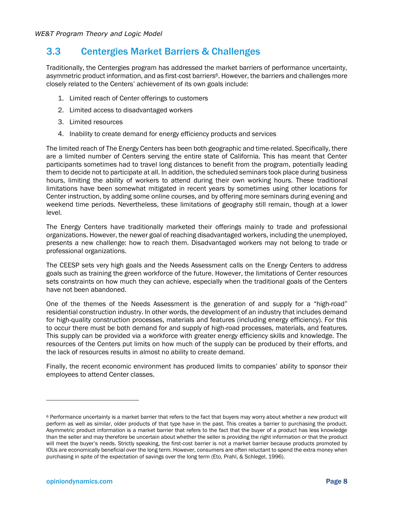## <span id="page-11-0"></span>3.3 Centergies Market Barriers & Challenges

Traditionally, the Centergies program has addressed the market barriers of performance uncertainty, asymmetric product information, and as first-cost barriers<sup>6</sup>. However, the barriers and challenges more closely related to the Centers' achievement of its own goals include:

- 1. Limited reach of Center offerings to customers
- 2. Limited access to disadvantaged workers
- 3. Limited resources
- 4. Inability to create demand for energy efficiency products and services

The limited reach of The Energy Centers has been both geographic and time-related. Specifically, there are a limited number of Centers serving the entire state of California. This has meant that Center participants sometimes had to travel long distances to benefit from the program, potentially leading them to decide not to participate at all. In addition, the scheduled seminars took place during business hours, limiting the ability of workers to attend during their own working hours. These traditional limitations have been somewhat mitigated in recent years by sometimes using other locations for Center instruction, by adding some online courses, and by offering more seminars during evening and weekend time periods. Nevertheless, these limitations of geography still remain, though at a lower level.

The Energy Centers have traditionally marketed their offerings mainly to trade and professional organizations. However, the newer goal of reaching disadvantaged workers, including the unemployed, presents a new challenge: how to reach them. Disadvantaged workers may not belong to trade or professional organizations.

The CEESP sets very high goals and the Needs Assessment calls on the Energy Centers to address goals such as training the green workforce of the future. However, the limitations of Center resources sets constraints on how much they can achieve, especially when the traditional goals of the Centers have not been abandoned.

One of the themes of the Needs Assessment is the generation of and supply for a "high-road" residential construction industry. In other words, the development of an industry that includes demand for high-quality construction processes, materials and features (including energy efficiency). For this to occur there must be both demand for and supply of high-road processes, materials, and features. This supply can be provided via a workforce with greater energy efficiency skills and knowledge. The resources of the Centers put limits on how much of the supply can be produced by their efforts, and the lack of resources results in almost no ability to create demand.

Finally, the recent economic environment has produced limits to companies' ability to sponsor their employees to attend Center classes.

<sup>&</sup>lt;sup>6</sup> Performance uncertainty is a market barrier that refers to the fact that buyers may worry about whether a new product will perform as well as similar, older products of that type have in the past. This creates a barrier to purchasing the product. Asymmetric product information is a market barrier that refers to the fact that the buyer of a product has less knowledge than the seller and may therefore be uncertain about whether the seller is providing the right information or that the product will meet the buyer's needs. Strictly speaking, the first-cost barrier is not a market barrier because products promoted by IOUs are economically beneficial over the long term. However, consumers are often reluctant to spend the extra money when purchasing in spite of the expectation of savings over the long term (Eto, Prahl, & Schlegel, 1996).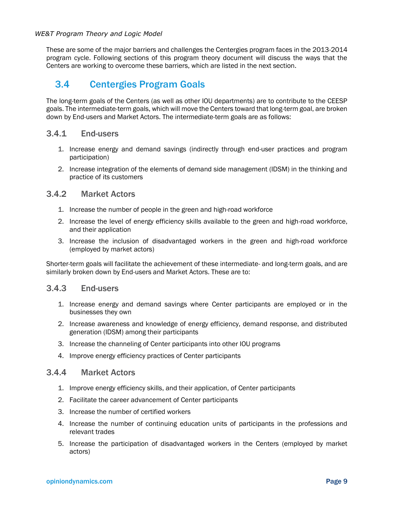These are some of the major barriers and challenges the Centergies program faces in the 2013-2014 program cycle. Following sections of this program theory document will discuss the ways that the Centers are working to overcome these barriers, which are listed in the next section.

## <span id="page-12-0"></span>3.4 Centergies Program Goals

The long-term goals of the Centers (as well as other IOU departments) are to contribute to the CEESP goals. The intermediate-term goals, which will move the Centers toward that long-term goal, are broken down by End-users and Market Actors. The intermediate-term goals are as follows:

### 3.4.1 End-users

- 1. Increase energy and demand savings (indirectly through end-user practices and program participation)
- 2. Increase integration of the elements of demand side management (IDSM) in the thinking and practice of its customers

### 3.4.2 Market Actors

- 1. Increase the number of people in the green and high-road workforce
- 2. Increase the level of energy efficiency skills available to the green and high-road workforce, and their application
- 3. Increase the inclusion of disadvantaged workers in the green and high-road workforce (employed by market actors)

Shorter-term goals will facilitate the achievement of these intermediate- and long-term goals, and are similarly broken down by End-users and Market Actors. These are to:

### 3.4.3 End-users

- 1. Increase energy and demand savings where Center participants are employed or in the businesses they own
- 2. Increase awareness and knowledge of energy efficiency, demand response, and distributed generation (IDSM) among their participants
- 3. Increase the channeling of Center participants into other IOU programs
- 4. Improve energy efficiency practices of Center participants

#### 3.4.4 Market Actors

- 1. Improve energy efficiency skills, and their application, of Center participants
- 2. Facilitate the career advancement of Center participants
- 3. Increase the number of certified workers
- 4. Increase the number of continuing education units of participants in the professions and relevant trades
- 5. Increase the participation of disadvantaged workers in the Centers (employed by market actors)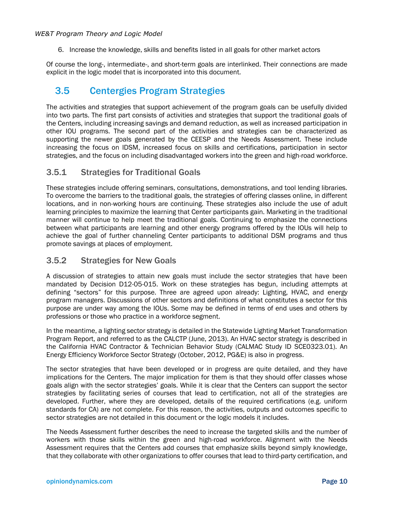6. Increase the knowledge, skills and benefits listed in all goals for other market actors

Of course the long-, intermediate-, and short-term goals are interlinked. Their connections are made explicit in the logic model that is incorporated into this document.

## <span id="page-13-0"></span>3.5 Centergies Program Strategies

The activities and strategies that support achievement of the program goals can be usefully divided into two parts. The first part consists of activities and strategies that support the traditional goals of the Centers, including increasing savings and demand reduction, as well as increased participation in other IOU programs. The second part of the activities and strategies can be characterized as supporting the newer goals generated by the CEESP and the Needs Assessment. These include increasing the focus on IDSM, increased focus on skills and certifications, participation in sector strategies, and the focus on including disadvantaged workers into the green and high-road workforce.

### 3.5.1 Strategies for Traditional Goals

These strategies include offering seminars, consultations, demonstrations, and tool lending libraries. To overcome the barriers to the traditional goals, the strategies of offering classes online, in different locations, and in non-working hours are continuing. These strategies also include the use of adult learning principles to maximize the learning that Center participants gain. Marketing in the traditional manner will continue to help meet the traditional goals. Continuing to emphasize the connections between what participants are learning and other energy programs offered by the IOUs will help to achieve the goal of further channeling Center participants to additional DSM programs and thus promote savings at places of employment.

### 3.5.2 Strategies for New Goals

A discussion of strategies to attain new goals must include the sector strategies that have been mandated by Decision D12-05-015. Work on these strategies has begun, including attempts at defining "sectors" for this purpose. Three are agreed upon already: Lighting, HVAC, and energy program managers. Discussions of other sectors and definitions of what constitutes a sector for this purpose are under way among the IOUs. Some may be defined in terms of end uses and others by professions or those who practice in a workforce segment.

In the meantime, a lighting sector strategy is detailed in the Statewide Lighting Market Transformation Program Report, and referred to as the CALCTP (June, 2013). An HVAC sector strategy is described in the California HVAC Contractor & Technician Behavior Study (CALMAC Study ID SCE0323.01). An Energy Efficiency Workforce Sector Strategy (October, 2012, PG&E) is also in progress.

The sector strategies that have been developed or in progress are quite detailed, and they have implications for the Centers. The major implication for them is that they should offer classes whose goals align with the sector strategies' goals. While it is clear that the Centers can support the sector strategies by facilitating series of courses that lead to certification, not all of the strategies are developed. Further, where they are developed, details of the required certifications (e.g. uniform standards for CA) are not complete. For this reason, the activities, outputs and outcomes specific to sector strategies are not detailed in this document or the logic models it includes.

The Needs Assessment further describes the need to increase the targeted skills and the number of workers with those skills within the green and high-road workforce. Alignment with the Needs Assessment requires that the Centers add courses that emphasize skills beyond simply knowledge, that they collaborate with other organizations to offer courses that lead to third-party certification, and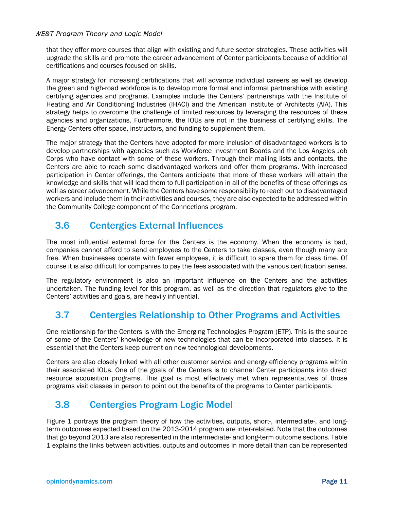that they offer more courses that align with existing and future sector strategies. These activities will upgrade the skills and promote the career advancement of Center participants because of additional certifications and courses focused on skills.

A major strategy for increasing certifications that will advance individual careers as well as develop the green and high-road workforce is to develop more formal and informal partnerships with existing certifying agencies and programs. Examples include the Centers' partnerships with the Institute of Heating and Air Conditioning Industries (IHACI) and the American Institute of Architects (AIA). This strategy helps to overcome the challenge of limited resources by leveraging the resources of these agencies and organizations. Furthermore, the IOUs are not in the business of certifying skills. The Energy Centers offer space, instructors, and funding to supplement them.

The major strategy that the Centers have adopted for more inclusion of disadvantaged workers is to develop partnerships with agencies such as Workforce Investment Boards and the Los Angeles Job Corps who have contact with some of these workers. Through their mailing lists and contacts, the Centers are able to reach some disadvantaged workers and offer them programs. With increased participation in Center offerings, the Centers anticipate that more of these workers will attain the knowledge and skills that will lead them to full participation in all of the benefits of these offerings as well as career advancement. While the Centers have some responsibility to reach out to disadvantaged workers and include them in their activities and courses, they are also expected to be addressed within the Community College component of the Connections program.

## <span id="page-14-0"></span>3.6 Centergies External Influences

The most influential external force for the Centers is the economy. When the economy is bad, companies cannot afford to send employees to the Centers to take classes, even though many are free. When businesses operate with fewer employees, it is difficult to spare them for class time. Of course it is also difficult for companies to pay the fees associated with the various certification series.

The regulatory environment is also an important influence on the Centers and the activities undertaken. The funding level for this program, as well as the direction that regulators give to the Centers' activities and goals, are heavily influential.

## <span id="page-14-1"></span>3.7 Centergies Relationship to Other Programs and Activities

One relationship for the Centers is with the Emerging Technologies Program (ETP). This is the source of some of the Centers' knowledge of new technologies that can be incorporated into classes. It is essential that the Centers keep current on new technological developments.

Centers are also closely linked with all other customer service and energy efficiency programs within their associated IOUs. One of the goals of the Centers is to channel Center participants into direct resource acquisition programs. This goal is most effectively met when representatives of those programs visit classes in person to point out the benefits of the programs to Center participants.

## <span id="page-14-2"></span>3.8 Centergies Program Logic Model

[Figure 1](#page-16-0) portrays the program theory of how the activities, outputs, short-, intermediate-, and longterm outcomes expected based on the 2013-2014 program are inter-related. Note that the outcomes that go beyond 2013 are also represented in the intermediate- and long-term outcome sections[. Table](#page-17-0)  [1](#page-17-0) explains the links between activities, outputs and outcomes in more detail than can be represented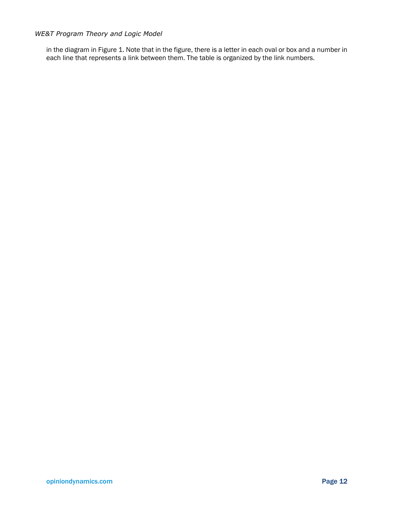in the diagram i[n Figure 1.](#page-16-0) Note that in the figure, there is a letter in each oval or box and a number in each line that represents a link between them. The table is organized by the link numbers.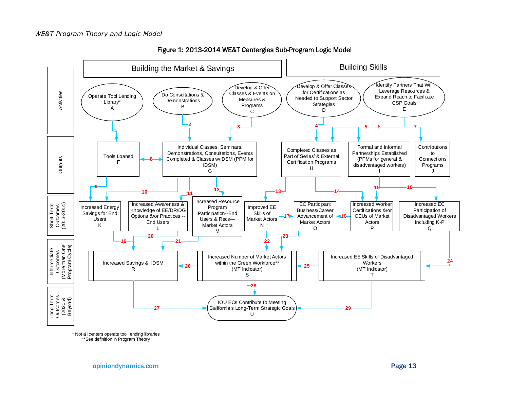<span id="page-16-1"></span><span id="page-16-0"></span>



\* Not all centers operate tool lending libraries \*\*See definition in Program Theory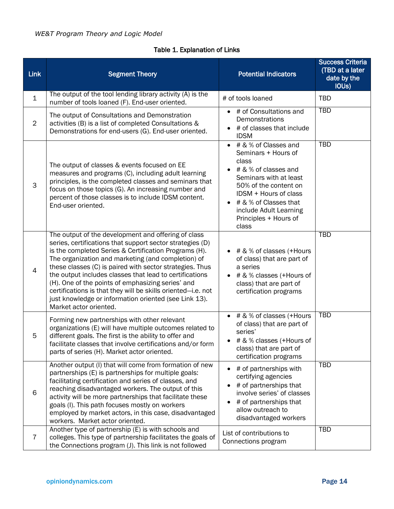### Table 1. Explanation of Links

<span id="page-17-1"></span><span id="page-17-0"></span>

| <b>Link</b>    | <b>Segment Theory</b>                                                                                                                                                                                                                                                                                                                                                                                                                                                                                                                                          | <b>Potential Indicators</b>                                                                                                                                                                                                                                | <b>Success Criteria</b><br>(TBD at a later<br>date by the<br>IOUs) |
|----------------|----------------------------------------------------------------------------------------------------------------------------------------------------------------------------------------------------------------------------------------------------------------------------------------------------------------------------------------------------------------------------------------------------------------------------------------------------------------------------------------------------------------------------------------------------------------|------------------------------------------------------------------------------------------------------------------------------------------------------------------------------------------------------------------------------------------------------------|--------------------------------------------------------------------|
| $\mathbf 1$    | The output of the tool lending library activity (A) is the<br>number of tools loaned (F). End-user oriented.                                                                                                                                                                                                                                                                                                                                                                                                                                                   | # of tools loaned                                                                                                                                                                                                                                          | <b>TBD</b>                                                         |
| $\overline{2}$ | The output of Consultations and Demonstration<br>activities (B) is a list of completed Consultations &<br>Demonstrations for end-users (G). End-user oriented.                                                                                                                                                                                                                                                                                                                                                                                                 | # of Consultations and<br>Demonstrations<br># of classes that include<br><b>IDSM</b>                                                                                                                                                                       | <b>TBD</b>                                                         |
| 3              | The output of classes & events focused on EE<br>measures and programs (C), including adult learning<br>principles, is the completed classes and seminars that<br>focus on those topics (G). An increasing number and<br>percent of those classes is to include IDSM content.<br>End-user oriented.                                                                                                                                                                                                                                                             | # & % of Classes and<br>$\bullet$<br>Seminars + Hours of<br>class<br># & % of classes and<br>Seminars with at least<br>50% of the content on<br>IDSM + Hours of class<br># & % of Classes that<br>include Adult Learning<br>Principles + Hours of<br>class | <b>TBD</b>                                                         |
| 4              | The output of the development and offering of class<br>series, certifications that support sector strategies (D)<br>is the completed Series & Certification Programs (H).<br>The organization and marketing (and completion) of<br>these classes (C) is paired with sector strategies. Thus<br>the output includes classes that lead to certifications<br>(H). One of the points of emphasizing series' and<br>certifications is that they will be skills oriented-i.e. not<br>just knowledge or information oriented (see Link 13).<br>Market actor oriented. | $\bullet$ # & % of classes (+Hours<br>of class) that are part of<br>a series<br># & % classes (+Hours of<br>class) that are part of<br>certification programs                                                                                              | <b>TBD</b>                                                         |
| 5              | Forming new partnerships with other relevant<br>organizations (E) will have multiple outcomes related to<br>different goals. The first is the ability to offer and<br>facilitate classes that involve certifications and/or form<br>parts of series (H). Market actor oriented.                                                                                                                                                                                                                                                                                | # & % of classes (+Hours<br>of class) that are part of<br>series'<br># & % classes (+Hours of<br>class) that are part of<br>certification programs                                                                                                         | <b>TBD</b>                                                         |
| 6              | Another output (I) that will come from formation of new<br>partnerships (E) is partnerships for multiple goals:<br>facilitating certification and series of classes, and<br>reaching disadvantaged workers. The output of this<br>activity will be more partnerships that facilitate these<br>goals (I). This path focuses mostly on workers<br>employed by market actors, in this case, disadvantaged<br>workers. Market actor oriented.                                                                                                                      | # of partnerships with<br>certifying agencies<br># of partnerships that<br>involve series' of classes<br># of partnerships that<br>allow outreach to<br>disadvantaged workers                                                                              | <b>TBD</b>                                                         |
| $\overline{7}$ | Another type of partnership (E) is with schools and<br>colleges. This type of partnership facilitates the goals of<br>the Connections program (J). This link is not followed                                                                                                                                                                                                                                                                                                                                                                                   | List of contributions to<br>Connections program                                                                                                                                                                                                            | <b>TBD</b>                                                         |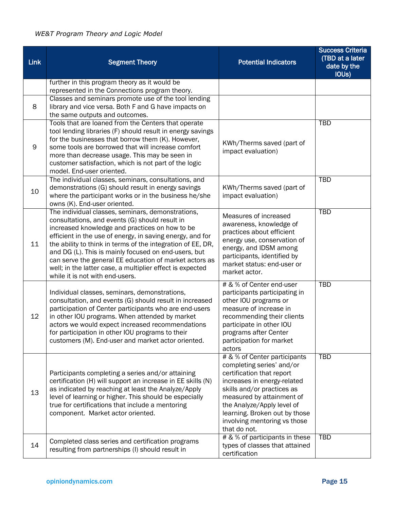| <b>Link</b> | <b>Segment Theory</b>                                                                                                                                                                                                                                                                                                                                                                                                                                                                               | <b>Potential Indicators</b>                                                                                                                                                                                                                                                                     | <b>Success Criteria</b><br>(TBD at a later<br>date by the<br>IOU <sub>s</sub> ) |
|-------------|-----------------------------------------------------------------------------------------------------------------------------------------------------------------------------------------------------------------------------------------------------------------------------------------------------------------------------------------------------------------------------------------------------------------------------------------------------------------------------------------------------|-------------------------------------------------------------------------------------------------------------------------------------------------------------------------------------------------------------------------------------------------------------------------------------------------|---------------------------------------------------------------------------------|
|             | further in this program theory as it would be<br>represented in the Connections program theory.                                                                                                                                                                                                                                                                                                                                                                                                     |                                                                                                                                                                                                                                                                                                 |                                                                                 |
| 8           | Classes and seminars promote use of the tool lending<br>library and vice versa. Both F and G have impacts on<br>the same outputs and outcomes.                                                                                                                                                                                                                                                                                                                                                      |                                                                                                                                                                                                                                                                                                 |                                                                                 |
| 9           | Tools that are loaned from the Centers that operate<br>tool lending libraries (F) should result in energy savings<br>for the businesses that borrow them (K). However,<br>some tools are borrowed that will increase comfort<br>more than decrease usage. This may be seen in<br>customer satisfaction, which is not part of the logic<br>model. End-user oriented.                                                                                                                                 | KWh/Therms saved (part of<br>impact evaluation)                                                                                                                                                                                                                                                 | <b>TBD</b>                                                                      |
| 10          | The individual classes, seminars, consultations, and<br>demonstrations (G) should result in energy savings<br>where the participant works or in the business he/she<br>owns (K). End-user oriented.                                                                                                                                                                                                                                                                                                 | KWh/Therms saved (part of<br>impact evaluation)                                                                                                                                                                                                                                                 | <b>TBD</b>                                                                      |
| 11          | The individual classes, seminars, demonstrations,<br>consultations, and events (G) should result in<br>increased knowledge and practices on how to be<br>efficient in the use of energy, in saving energy, and for<br>the ability to think in terms of the integration of EE, DR,<br>and DG (L). This is mainly focused on end-users, but<br>can serve the general EE education of market actors as<br>well; in the latter case, a multiplier effect is expected<br>while it is not with end-users. | Measures of increased<br>awareness, knowledge of<br>practices about efficient<br>energy use, conservation of<br>energy, and IDSM among<br>participants, identified by<br>market status: end-user or<br>market actor.                                                                            | <b>TBD</b>                                                                      |
| 12          | Individual classes, seminars, demonstrations,<br>consultation, and events (G) should result in increased<br>participation of Center participants who are end-users<br>in other IOU programs. When attended by market<br>actors we would expect increased recommendations<br>for participation in other IOU programs to their<br>customers (M). End-user and market actor oriented.                                                                                                                  | # & % of Center end-user<br>participants participating in<br>other IOU programs or<br>measure of increase in<br>recommending their clients<br>participate in other IOU<br>programs after Center<br>participation for market<br>actors                                                           | <b>TBD</b>                                                                      |
| 13          | Participants completing a series and/or attaining<br>certification (H) will support an increase in EE skills (N)<br>as indicated by reaching at least the Analyze/Apply<br>level of learning or higher. This should be especially<br>true for certifications that include a mentoring<br>component. Market actor oriented.                                                                                                                                                                          | # & % of Center participants<br>completing series' and/or<br>certification that report<br>increases in energy-related<br>skills and/or practices as<br>measured by attainment of<br>the Analyze/Apply level of<br>learning. Broken out by those<br>involving mentoring vs those<br>that do not. | <b>TBD</b>                                                                      |
| 14          | Completed class series and certification programs<br>resulting from partnerships (I) should result in                                                                                                                                                                                                                                                                                                                                                                                               | # & % of participants in these<br>types of classes that attained<br>certification                                                                                                                                                                                                               | TBD                                                                             |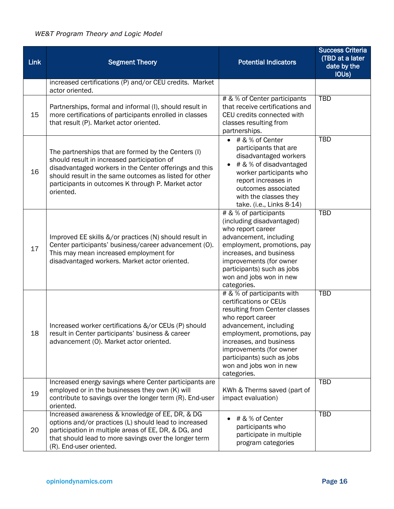| <b>Link</b> | <b>Segment Theory</b>                                                                                                                                                                                                                                                                     | <b>Potential Indicators</b>                                                                                                                                                                                                                                                                       | <b>Success Criteria</b><br>(TBD at a later<br>date by the<br>IOU <sub>s</sub> ) |
|-------------|-------------------------------------------------------------------------------------------------------------------------------------------------------------------------------------------------------------------------------------------------------------------------------------------|---------------------------------------------------------------------------------------------------------------------------------------------------------------------------------------------------------------------------------------------------------------------------------------------------|---------------------------------------------------------------------------------|
|             | increased certifications (P) and/or CEU credits. Market<br>actor oriented.                                                                                                                                                                                                                |                                                                                                                                                                                                                                                                                                   |                                                                                 |
| 15          | Partnerships, formal and informal (I), should result in<br>more certifications of participants enrolled in classes<br>that result (P). Market actor oriented.                                                                                                                             | # & % of Center participants<br>that receive certifications and<br>CEU credits connected with<br>classes resulting from<br>partnerships.                                                                                                                                                          | <b>TBD</b>                                                                      |
| 16          | The partnerships that are formed by the Centers (I)<br>should result in increased participation of<br>disadvantaged workers in the Center offerings and this<br>should result in the same outcomes as listed for other<br>participants in outcomes K through P. Market actor<br>oriented. | # & % of Center<br>$\bullet$<br>participants that are<br>disadvantaged workers<br># & % of disadvantaged<br>$\bullet$<br>worker participants who<br>report increases in<br>outcomes associated<br>with the classes they<br>take. (i.e., Links 8-14)                                               | <b>TBD</b>                                                                      |
| 17          | Improved EE skills &/or practices (N) should result in<br>Center participants' business/career advancement (O).<br>This may mean increased employment for<br>disadvantaged workers. Market actor oriented.                                                                                | # & % of participants<br>(including disadvantaged)<br>who report career<br>advancement, including<br>employment, promotions, pay<br>increases, and business<br>improvements (for owner<br>participants) such as jobs<br>won and jobs won in new<br>categories.                                    | <b>TBD</b>                                                                      |
| 18          | Increased worker certifications &/or CEUs (P) should<br>result in Center participants' business & career<br>advancement (O). Market actor oriented.                                                                                                                                       | # & % of participants with<br>certifications or CEUs<br>resulting from Center classes<br>who report career<br>advancement, including<br>employment, promotions, pay<br>increases, and business<br>improvements (for owner<br>participants) such as jobs<br>won and jobs won in new<br>categories. | <b>TBD</b>                                                                      |
| 19          | Increased energy savings where Center participants are<br>employed or in the businesses they own (K) will<br>contribute to savings over the longer term (R). End-user<br>oriented.                                                                                                        | KWh & Therms saved (part of<br>impact evaluation)                                                                                                                                                                                                                                                 | <b>TBD</b>                                                                      |
| 20          | Increased awareness & knowledge of EE, DR, & DG<br>options and/or practices (L) should lead to increased<br>participation in multiple areas of EE, DR, & DG, and<br>that should lead to more savings over the longer term<br>(R). End-user oriented.                                      | # & % of Center<br>participants who<br>participate in multiple<br>program categories                                                                                                                                                                                                              | <b>TBD</b>                                                                      |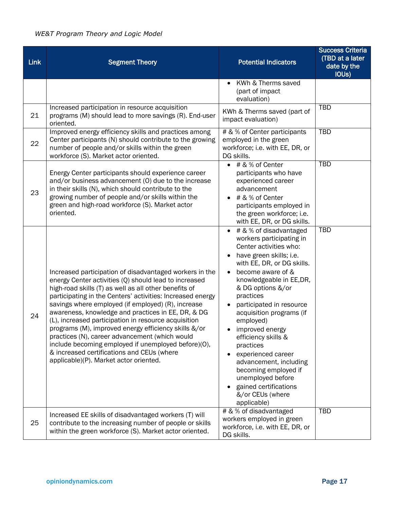| <b>Link</b> | <b>Segment Theory</b>                                                                                                                                                                                                                                                                                                                                                                                                                                                                                                                                                                                                                                                | <b>Potential Indicators</b>                                                                                                                                                                                                                                                                                                                                                                                                                                                                                                            | <b>Success Criteria</b><br>(TBD at a later<br>date by the<br>IOU <sub>s</sub> ) |
|-------------|----------------------------------------------------------------------------------------------------------------------------------------------------------------------------------------------------------------------------------------------------------------------------------------------------------------------------------------------------------------------------------------------------------------------------------------------------------------------------------------------------------------------------------------------------------------------------------------------------------------------------------------------------------------------|----------------------------------------------------------------------------------------------------------------------------------------------------------------------------------------------------------------------------------------------------------------------------------------------------------------------------------------------------------------------------------------------------------------------------------------------------------------------------------------------------------------------------------------|---------------------------------------------------------------------------------|
|             |                                                                                                                                                                                                                                                                                                                                                                                                                                                                                                                                                                                                                                                                      | KWh & Therms saved<br>(part of impact<br>evaluation)                                                                                                                                                                                                                                                                                                                                                                                                                                                                                   |                                                                                 |
| 21          | Increased participation in resource acquisition<br>programs (M) should lead to more savings (R). End-user<br>oriented.                                                                                                                                                                                                                                                                                                                                                                                                                                                                                                                                               | KWh & Therms saved (part of<br>impact evaluation)                                                                                                                                                                                                                                                                                                                                                                                                                                                                                      | <b>TBD</b>                                                                      |
| 22          | Improved energy efficiency skills and practices among<br>Center participants (N) should contribute to the growing<br>number of people and/or skills within the green<br>workforce (S). Market actor oriented.                                                                                                                                                                                                                                                                                                                                                                                                                                                        | # & % of Center participants<br>employed in the green<br>workforce; i.e. with EE, DR, or<br>DG skills.                                                                                                                                                                                                                                                                                                                                                                                                                                 | <b>TBD</b>                                                                      |
| 23          | Energy Center participants should experience career<br>and/or business advancement (0) due to the increase<br>in their skills (N), which should contribute to the<br>growing number of people and/or skills within the<br>green and high-road workforce (S). Market actor<br>oriented.                                                                                                                                                                                                                                                                                                                                                                               | # & % of Center<br>participants who have<br>experienced career<br>advancement<br># & % of Center<br>participants employed in<br>the green workforce; i.e.<br>with EE, DR, or DG skills.                                                                                                                                                                                                                                                                                                                                                | <b>TBD</b>                                                                      |
| 24          | Increased participation of disadvantaged workers in the<br>energy Center activities (Q) should lead to increased<br>high-road skills (T) as well as all other benefits of<br>participating in the Centers' activities: Increased energy<br>savings where employed (if employed) (R), increase<br>awareness, knowledge and practices in EE, DR, & DG<br>(L), increased participation in resource acquisition<br>programs (M), improved energy efficiency skills &/or<br>practices (N), career advancement (which would<br>include becoming employed if unemployed before)(O),<br>& increased certifications and CEUs (where<br>applicable)(P). Market actor oriented. | # & % of disadvantaged<br>$\bullet$<br>workers participating in<br>Center activities who:<br>have green skills; i.e.<br>with EE, DR, or DG skills.<br>become aware of &<br>$\bullet$<br>knowledgeable in EE,DR,<br>& DG options &/or<br>practices<br>participated in resource<br>acquisition programs (if<br>employed)<br>improved energy<br>efficiency skills &<br>practices<br>experienced career<br>advancement, including<br>becoming employed if<br>unemployed before<br>gained certifications<br>&/or CEUs (where<br>applicable) | <b>TBD</b>                                                                      |
| 25          | Increased EE skills of disadvantaged workers (T) will<br>contribute to the increasing number of people or skills<br>within the green workforce (S). Market actor oriented.                                                                                                                                                                                                                                                                                                                                                                                                                                                                                           | # & % of disadvantaged<br>workers employed in green<br>workforce, i.e. with EE, DR, or<br>DG skills.                                                                                                                                                                                                                                                                                                                                                                                                                                   | <b>TBD</b>                                                                      |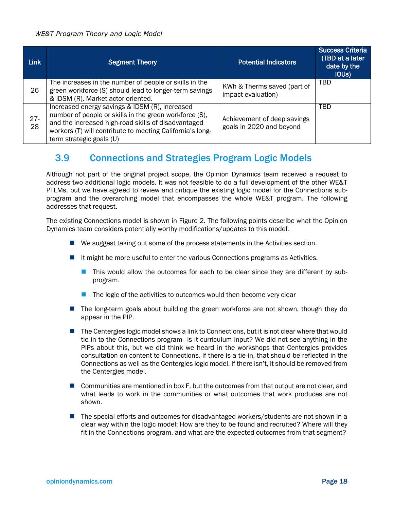| <b>Link</b>  | <b>Segment Theory</b>                                                                                                                                                                                                                                    | <b>Potential Indicators</b>                             | <b>Success Criteria</b><br>(TBD at a later<br>date by the<br><b>IOUS</b> ) |
|--------------|----------------------------------------------------------------------------------------------------------------------------------------------------------------------------------------------------------------------------------------------------------|---------------------------------------------------------|----------------------------------------------------------------------------|
| 26           | The increases in the number of people or skills in the<br>green workforce (S) should lead to longer-term savings<br>& IDSM (R). Market actor oriented.                                                                                                   | KWh & Therms saved (part of<br>impact evaluation)       | <b>TBD</b>                                                                 |
| $27 -$<br>28 | Increased energy savings & IDSM (R), increased<br>number of people or skills in the green workforce (S),<br>and the increased high-road skills of disadvantaged<br>workers (T) will contribute to meeting California's long-<br>term strategic goals (U) | Achievement of deep savings<br>goals in 2020 and beyond | <b>TBD</b>                                                                 |

## <span id="page-21-0"></span>3.9 Connections and Strategies Program Logic Models

Although not part of the original project scope, the Opinion Dynamics team received a request to address two additional logic models. It was not feasible to do a full development of the other WE&T PTLMs, but we have agreed to review and critique the existing logic model for the Connections subprogram and the overarching model that encompasses the whole WE&T program. The following addresses that request.

The existing Connections model is shown in [Figure 2.](#page-22-0) The following points describe what the Opinion Dynamics team considers potentially worthy modifications/updates to this model.

- We suggest taking out some of the process statements in the Activities section.
- It might be more useful to enter the various Connections programs as Activities.
	- **This would allow the outcomes for each to be clear since they are different by sub**program.
	- $\blacksquare$  The logic of the activities to outcomes would then become very clear
- The long-term goals about building the green workforce are not shown, though they do appear in the PIP.
- The Centergies logic model shows a link to Connections, but it is not clear where that would tie in to the Connections program—is it curriculum input? We did not see anything in the PIPs about this, but we did think we heard in the workshops that Centergies provides consultation on content to Connections. If there is a tie-in, that should be reflected in the Connections as well as the Centergies logic model. If there isn't, it should be removed from the Centergies model.
- **Communities are mentioned in box F, but the outcomes from that output are not clear, and** what leads to work in the communities or what outcomes that work produces are not shown.
- The special efforts and outcomes for disadvantaged workers/students are not shown in a clear way within the logic model: How are they to be found and recruited? Where will they fit in the Connections program, and what are the expected outcomes from that segment?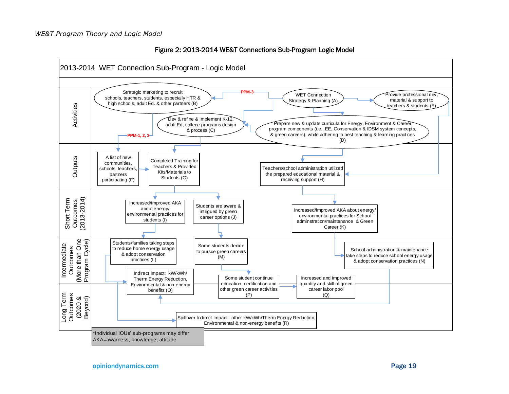

<span id="page-22-0"></span>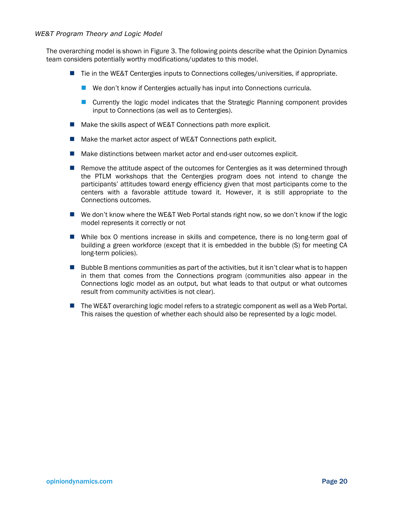The overarching model is shown in [Figure 3.](#page-24-0) The following points describe what the Opinion Dynamics team considers potentially worthy modifications/updates to this model.

- Tie in the WE&T Centergies inputs to Connections colleges/universities, if appropriate.
	- We don't know if Centergies actually has input into Connections curricula.
	- Currently the logic model indicates that the Strategic Planning component provides input to Connections (as well as to Centergies).
- Make the skills aspect of WE&T Connections path more explicit.
- Make the market actor aspect of WE&T Connections path explicit.
- Make distinctions between market actor and end-user outcomes explicit.
- **Remove the attitude aspect of the outcomes for Centergies as it was determined through** the PTLM workshops that the Centergies program does not intend to change the participants' attitudes toward energy efficiency given that most participants come to the centers with a favorable attitude toward it. However, it is still appropriate to the Connections outcomes.
- We don't know where the WE&T Web Portal stands right now, so we don't know if the logic model represents it correctly or not
- While box O mentions increase in skills and competence, there is no long-term goal of building a green workforce (except that it is embedded in the bubble (S) for meeting CA long-term policies).
- $\blacksquare$  Bubble B mentions communities as part of the activities, but it isn't clear what is to happen in them that comes from the Connections program (communities also appear in the Connections logic model as an output, but what leads to that output or what outcomes result from community activities is not clear).
- The WE&T overarching logic model refers to a strategic component as well as a Web Portal. This raises the question of whether each should also be represented by a logic model.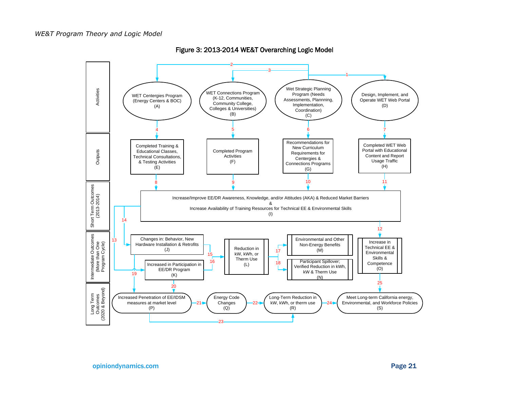<span id="page-24-0"></span>

Figure 3: 2013-2014 WE&T Overarching Logic Model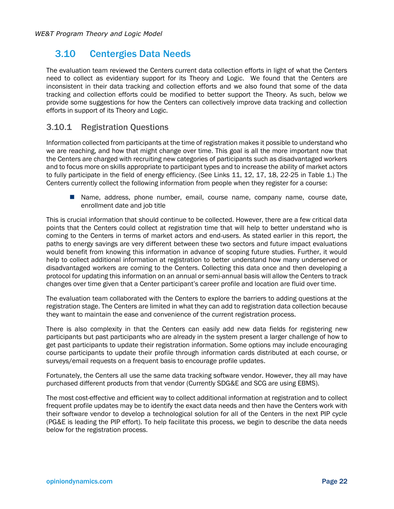## <span id="page-25-0"></span>3.10 Centergies Data Needs

The evaluation team reviewed the Centers current data collection efforts in light of what the Centers need to collect as evidentiary support for its Theory and Logic. We found that the Centers are inconsistent in their data tracking and collection efforts and we also found that some of the data tracking and collection efforts could be modified to better support the Theory. As such, below we provide some suggestions for how the Centers can collectively improve data tracking and collection efforts in support of its Theory and Logic.

### 3.10.1 Registration Questions

Information collected from participants at the time of registration makes it possible to understand who we are reaching, and how that might change over time. This goal is all the more important now that the Centers are charged with recruiting new categories of participants such as disadvantaged workers and to focus more on skills appropriate to participant types and to increase the ability of market actors to fully participate in the field of energy efficiency. (See Links 11, 12, 17, 18, 22-25 in Table 1.) The Centers currently collect the following information from people when they register for a course:

■ Name, address, phone number, email, course name, company name, course date, enrollment date and job title

This is crucial information that should continue to be collected. However, there are a few critical data points that the Centers could collect at registration time that will help to better understand who is coming to the Centers in terms of market actors and end-users. As stated earlier in this report, the paths to energy savings are very different between these two sectors and future impact evaluations would benefit from knowing this information in advance of scoping future studies. Further, it would help to collect additional information at registration to better understand how many underserved or disadvantaged workers are coming to the Centers. Collecting this data once and then developing a protocol for updating this information on an annual or semi-annual basis will allow the Centers to track changes over time given that a Center participant's career profile and location are fluid over time.

The evaluation team collaborated with the Centers to explore the barriers to adding questions at the registration stage. The Centers are limited in what they can add to registration data collection because they want to maintain the ease and convenience of the current registration process.

There is also complexity in that the Centers can easily add new data fields for registering new participants but past participants who are already in the system present a larger challenge of how to get past participants to update their registration information. Some options may include encouraging course participants to update their profile through information cards distributed at each course, or surveys/email requests on a frequent basis to encourage profile updates.

Fortunately, the Centers all use the same data tracking software vendor. However, they all may have purchased different products from that vendor (Currently SDG&E and SCG are using EBMS).

The most cost-effective and efficient way to collect additional information at registration and to collect frequent profile updates may be to identify the exact data needs and then have the Centers work with their software vendor to develop a technological solution for all of the Centers in the next PIP cycle (PG&E is leading the PIP effort). To help facilitate this process, we begin to describe the data needs below for the registration process.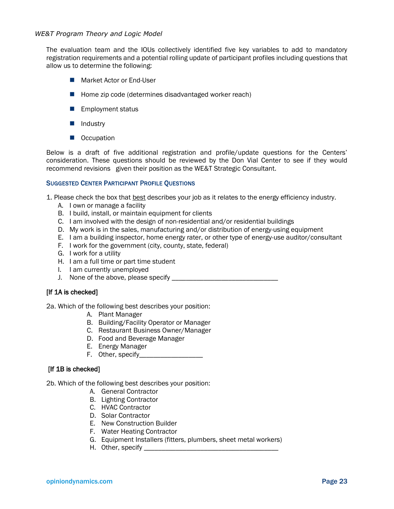The evaluation team and the IOUs collectively identified five key variables to add to mandatory registration requirements and a potential rolling update of participant profiles including questions that allow us to determine the following:

- **Market Actor or End-User**
- $\blacksquare$  Home zip code (determines disadvantaged worker reach)
- **Employment status**
- **I**I Industry
- **D** Occupation

Below is a draft of five additional registration and profile/update questions for the Centers' consideration. These questions should be reviewed by the Don Vial Center to see if they would recommend revisions given their position as the WE&T Strategic Consultant.

#### SUGGESTED CENTER PARTICIPANT PROFILE QUESTIONS

- 1. Please check the box that **best describes your job as it relates to the energy efficiency industry.** 
	- A. I own or manage a facility
	- B. I build, install, or maintain equipment for clients
	- C. I am involved with the design of non-residential and/or residential buildings
	- D. My work is in the sales, manufacturing and/or distribution of energy-using equipment
	- E. I am a building inspector, home energy rater, or other type of energy-use auditor/consultant
	- F. I work for the government (city, county, state, federal)
	- G. I work for a utility
	- H. I am a full time or part time student
	- I. I am currently unemployed
	- J. None of the above, please specify \_\_\_\_\_\_\_\_\_\_\_\_\_\_\_\_\_\_\_\_\_\_\_\_\_\_\_\_\_\_

#### [If 1A is checked]

2a. Which of the following best describes your position:

- A. Plant Manager
- B. Building/Facility Operator or Manager
- C. Restaurant Business Owner/Manager
- D. Food and Beverage Manager
- E. Energy Manager
- F. Other, specify

#### [If 1B is checked]

2b. Which of the following best describes your position:

- A. General Contractor
- B. Lighting Contractor
- C. HVAC Contractor
- D. Solar Contractor
- E. New Construction Builder
- F. Water Heating Contractor
- G. Equipment Installers (fitters, plumbers, sheet metal workers)
- H. Other, specify \_\_\_\_\_\_\_\_\_\_\_\_\_\_\_\_\_\_\_\_\_\_\_\_\_\_\_\_\_\_\_\_\_\_\_\_\_\_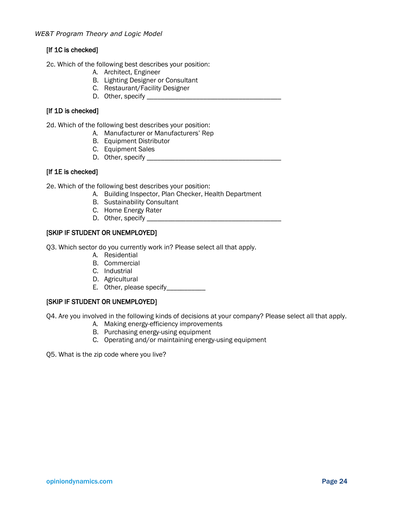#### [If 1C is checked]

2c. Which of the following best describes your position:

- A. Architect, Engineer
- B. Lighting Designer or Consultant
- C. Restaurant/Facility Designer
- D. Other, specify \_\_\_\_\_\_\_\_\_\_\_\_\_\_\_\_\_\_\_\_\_\_\_\_\_\_\_\_\_\_\_\_\_\_\_\_\_\_

#### [If 1D is checked]

2d. Which of the following best describes your position:

- A. Manufacturer or Manufacturers' Rep
- B. Equipment Distributor
- C. Equipment Sales
- D. Other, specify \_\_\_\_\_\_\_\_\_\_\_\_\_\_\_\_\_\_\_\_\_\_\_\_\_\_\_\_\_\_\_\_\_\_\_\_\_\_

#### [If 1E is checked]

2e. Which of the following best describes your position:

- A. Building Inspector, Plan Checker, Health Department
- B. Sustainability Consultant
- C. Home Energy Rater
- D. Other, specify \_\_\_\_\_\_\_\_\_\_\_\_\_\_\_\_\_\_\_\_\_\_\_\_\_\_\_\_\_\_\_\_\_\_\_\_\_\_

#### [SKIP IF STUDENT OR UNEMPLOYED]

Q3. Which sector do you currently work in? Please select all that apply.

- A. Residential
- B. Commercial
- C. Industrial
- D. Agricultural
- E. Other, please specify\_\_\_\_\_\_\_\_\_\_\_\_

#### [SKIP IF STUDENT OR UNEMPLOYED]

Q4. Are you involved in the following kinds of decisions at your company? Please select all that apply.

- A. Making energy-efficiency improvements
- B. Purchasing energy-using equipment
- C. Operating and/or maintaining energy-using equipment

Q5. What is the zip code where you live?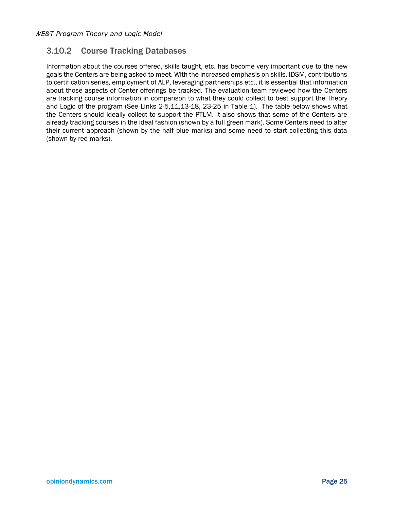### 3.10.2 Course Tracking Databases

Information about the courses offered, skills taught, etc. has become very important due to the new goals the Centers are being asked to meet. With the increased emphasis on skills, IDSM, contributions to certification series, employment of ALP, leveraging partnerships etc., it is essential that information about those aspects of Center offerings be tracked. The evaluation team reviewed how the Centers are tracking course information in comparison to what they could collect to best support the Theory and Logic of the program (See Links 2-5,11,13-18, 23-25 in Table 1). The table below shows what the Centers should ideally collect to support the PTLM. It also shows that some of the Centers are already tracking courses in the ideal fashion (shown by a full green mark). Some Centers need to alter their current approach (shown by the half blue marks) and some need to start collecting this data (shown by red marks).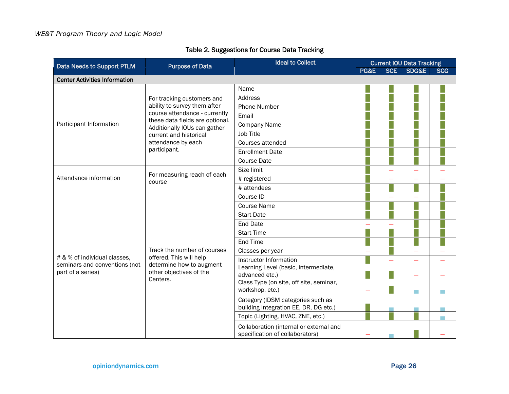<span id="page-29-0"></span>

| Data Needs to Support PTLM                         | <b>Purpose of Data</b>                                                                      | <b>Ideal to Collect</b>                                                    | <b>Current IOU Data Tracking</b> |            |       |            |
|----------------------------------------------------|---------------------------------------------------------------------------------------------|----------------------------------------------------------------------------|----------------------------------|------------|-------|------------|
|                                                    |                                                                                             |                                                                            | PG&E                             | <b>SCE</b> | SDG&E | <b>SCG</b> |
| <b>Center Activities Information</b>               |                                                                                             |                                                                            |                                  |            |       |            |
|                                                    | For tracking customers and<br>ability to survey them after<br>course attendance - currently | Name                                                                       |                                  |            |       |            |
|                                                    |                                                                                             | <b>Address</b>                                                             |                                  |            |       |            |
|                                                    |                                                                                             | <b>Phone Number</b>                                                        |                                  |            |       |            |
|                                                    |                                                                                             | Email                                                                      |                                  |            |       |            |
| Participant Information                            | these data fields are optional.<br>Additionally IOUs can gather                             | <b>Company Name</b>                                                        |                                  |            |       |            |
|                                                    | current and historical                                                                      | <b>Job Title</b>                                                           |                                  |            |       |            |
|                                                    | attendance by each                                                                          | Courses attended                                                           |                                  |            |       |            |
|                                                    | participant.                                                                                | <b>Enrollment Date</b>                                                     |                                  |            |       |            |
|                                                    |                                                                                             | <b>Course Date</b>                                                         |                                  |            |       |            |
|                                                    | For measuring reach of each<br>course                                                       | Size limit                                                                 |                                  |            |       |            |
| Attendance information                             |                                                                                             | # registered                                                               |                                  |            |       |            |
|                                                    |                                                                                             | # attendees                                                                |                                  |            |       |            |
|                                                    | Track the number of courses                                                                 | Course ID                                                                  |                                  |            |       |            |
|                                                    |                                                                                             | <b>Course Name</b>                                                         |                                  |            |       |            |
|                                                    |                                                                                             | <b>Start Date</b>                                                          |                                  |            |       |            |
|                                                    |                                                                                             | <b>End Date</b>                                                            |                                  |            |       |            |
|                                                    |                                                                                             | <b>Start Time</b>                                                          |                                  |            |       |            |
|                                                    |                                                                                             | End Time                                                                   |                                  |            |       |            |
|                                                    |                                                                                             | Classes per year                                                           |                                  |            |       |            |
| # & % of individual classes,                       | offered. This will help                                                                     | Instructor Information                                                     |                                  |            |       |            |
| seminars and conventions (not<br>part of a series) | determine how to augment<br>other objectives of the<br>Centers.                             | Learning Level (basic, intermediate,<br>advanced etc.)                     |                                  |            |       |            |
|                                                    |                                                                                             | Class Type (on site, off site, seminar,<br>workshop, etc.)                 |                                  |            |       |            |
|                                                    |                                                                                             | Category (IDSM categories such as<br>building integration EE, DR, DG etc.) |                                  |            |       |            |
|                                                    |                                                                                             | Topic (Lighting, HVAC, ZNE, etc.)                                          |                                  |            |       |            |
|                                                    |                                                                                             | Collaboration (internal or external and<br>specification of collaborators) |                                  |            |       |            |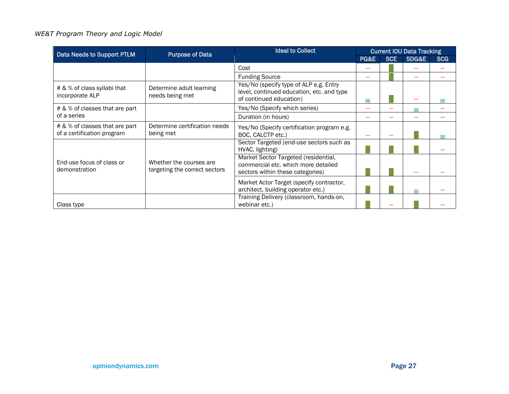| Data Needs to Support PTLM                                   | <b>Purpose of Data</b>                                   | <b>Ideal to Collect</b>                                                                                         | <b>Current IOU Data Tracking</b> |            |       |            |
|--------------------------------------------------------------|----------------------------------------------------------|-----------------------------------------------------------------------------------------------------------------|----------------------------------|------------|-------|------------|
|                                                              |                                                          |                                                                                                                 | PG&E                             | <b>SCE</b> | SDG&E | <b>SCG</b> |
|                                                              |                                                          | Cost                                                                                                            |                                  |            |       |            |
|                                                              |                                                          | <b>Funding Source</b>                                                                                           |                                  |            |       |            |
| # & % of class syllabi that<br>incorporate ALP               | Determine adult learning<br>needs being met              | Yes/No (specify type of ALP e.g. Entry<br>level, continued education, etc. and type<br>of continued education)  |                                  |            |       |            |
| # & % of classes that are part                               |                                                          | Yes/No (Specify which series)                                                                                   |                                  |            |       |            |
| of a series                                                  |                                                          | Duration (in hours)                                                                                             |                                  |            |       |            |
| # & % of classes that are part<br>of a certification program | Determine certification needs<br>being met               | Yes/No (Specify certification program e.g.<br>BOC, CALCTP etc.)                                                 |                                  |            |       |            |
|                                                              |                                                          | Sector Targeted (end-use sectors such as<br>HVAC, lighting)                                                     |                                  |            |       |            |
| End-use focus of class or<br>demonstration                   | Whether the courses are<br>targeting the correct sectors | Market Sector Targeted (residential,<br>commercial etc. which more detailed<br>sectors within these categories) |                                  |            |       |            |
|                                                              |                                                          | Market Actor Target (specify contractor,<br>architect, building operator etc.)                                  |                                  |            |       |            |
| Class type                                                   |                                                          | Training Delivery (classroom, hands-on,<br>webinar etc.)                                                        |                                  |            |       |            |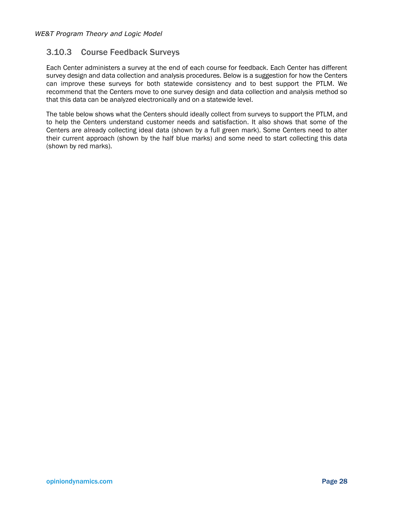### 3.10.3 Course Feedback Surveys

Each Center administers a survey at the end of each course for feedback. Each Center has different survey design and data collection and analysis procedures. Below is a suggestion for how the Centers can improve these surveys for both statewide consistency and to best support the PTLM. We recommend that the Centers move to one survey design and data collection and analysis method so that this data can be analyzed electronically and on a statewide level.

The table below shows what the Centers should ideally collect from surveys to support the PTLM, and to help the Centers understand customer needs and satisfaction. It also shows that some of the Centers are already collecting ideal data (shown by a full green mark). Some Centers need to alter their current approach (shown by the half blue marks) and some need to start collecting this data (shown by red marks).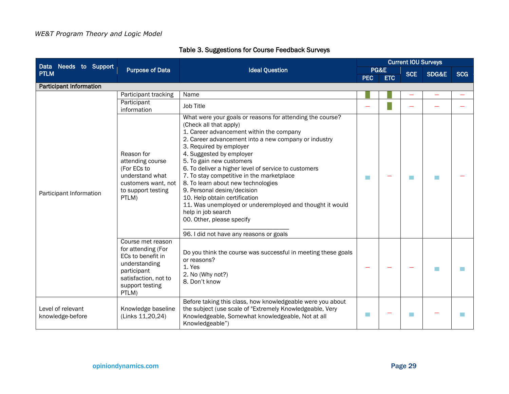<span id="page-32-0"></span>

| Data Needs to Support                 | <b>Purpose of Data</b>                                                                                                                           | <b>Ideal Question</b>                                                                                                                                                                                                                                                                                                                                                                                                                                                                                                                                                                                                                           | <b>Current IOU Surveys</b> |            |            |                |            |
|---------------------------------------|--------------------------------------------------------------------------------------------------------------------------------------------------|-------------------------------------------------------------------------------------------------------------------------------------------------------------------------------------------------------------------------------------------------------------------------------------------------------------------------------------------------------------------------------------------------------------------------------------------------------------------------------------------------------------------------------------------------------------------------------------------------------------------------------------------------|----------------------------|------------|------------|----------------|------------|
| <b>PTLM</b>                           |                                                                                                                                                  |                                                                                                                                                                                                                                                                                                                                                                                                                                                                                                                                                                                                                                                 | PG&E<br><b>PEC</b>         |            | <b>SCE</b> | SDG&E          | <b>SCG</b> |
|                                       |                                                                                                                                                  |                                                                                                                                                                                                                                                                                                                                                                                                                                                                                                                                                                                                                                                 |                            | <b>ETC</b> |            |                |            |
| <b>Participant Information</b>        |                                                                                                                                                  |                                                                                                                                                                                                                                                                                                                                                                                                                                                                                                                                                                                                                                                 |                            |            |            |                |            |
|                                       | Participant tracking                                                                                                                             | Name                                                                                                                                                                                                                                                                                                                                                                                                                                                                                                                                                                                                                                            |                            |            |            |                |            |
|                                       | Participant<br>information                                                                                                                       | Job Title                                                                                                                                                                                                                                                                                                                                                                                                                                                                                                                                                                                                                                       |                            |            |            |                |            |
| Participant Information               | Reason for<br>attending course<br>(For ECs to<br>understand what<br>customers want, not<br>to support testing<br>PTLM)                           | What were your goals or reasons for attending the course?<br>(Check all that apply)<br>1. Career advancement within the company<br>2. Career advancement into a new company or industry<br>3. Required by employer<br>4. Suggested by employer<br>5. To gain new customers<br>6. To deliver a higher level of service to customers<br>7. To stay competitive in the marketplace<br>8. To learn about new technologies<br>9. Personal desire/decision<br>10. Help obtain certification<br>11. Was unemployed or underemployed and thought it would<br>help in job search<br>00. Other, please specify<br>96. I did not have any reasons or goals | T.                         |            |            | <b>Talling</b> |            |
|                                       | Course met reason<br>for attending (For<br>ECs to benefit in<br>understanding<br>participant<br>satisfaction, not to<br>support testing<br>PTLM) | Do you think the course was successful in meeting these goals<br>or reasons?<br>1. Yes<br>2. No (Why not?)<br>8. Don't know                                                                                                                                                                                                                                                                                                                                                                                                                                                                                                                     |                            |            |            |                |            |
| Level of relevant<br>knowledge-before | Knowledge baseline<br>(Links 11,20,24)                                                                                                           | Before taking this class, how knowledgeable were you about<br>the subject (use scale of "Extremely Knowledgeable, Very<br>Knowledgeable, Somewhat knowledgeable, Not at all<br>Knowledgeable")                                                                                                                                                                                                                                                                                                                                                                                                                                                  | p.                         |            |            |                |            |

### Table 3. Suggestions for Course Feedback Surveys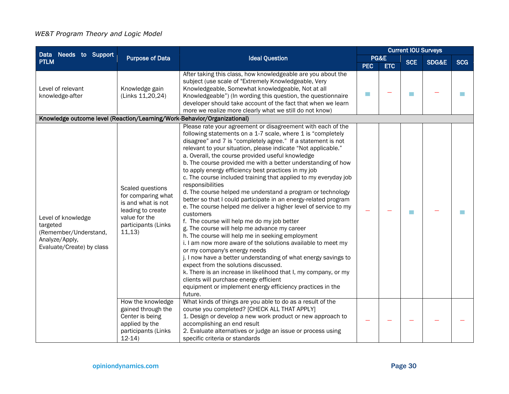|                                                                                                        |                                                                                                                                     | <b>Ideal Question</b>                                                                                                                                                                                                                                                                                                                                                                                                                                                                                                                                                                                                                                                                                                                                                                                                                                                                                                                                                                                                                                                                                                                                                                                                                                                                            |            | <b>Current IOU Surveys</b> |            |       |            |  |
|--------------------------------------------------------------------------------------------------------|-------------------------------------------------------------------------------------------------------------------------------------|--------------------------------------------------------------------------------------------------------------------------------------------------------------------------------------------------------------------------------------------------------------------------------------------------------------------------------------------------------------------------------------------------------------------------------------------------------------------------------------------------------------------------------------------------------------------------------------------------------------------------------------------------------------------------------------------------------------------------------------------------------------------------------------------------------------------------------------------------------------------------------------------------------------------------------------------------------------------------------------------------------------------------------------------------------------------------------------------------------------------------------------------------------------------------------------------------------------------------------------------------------------------------------------------------|------------|----------------------------|------------|-------|------------|--|
| Data Needs to Support<br><b>PTLM</b>                                                                   | <b>Purpose of Data</b>                                                                                                              |                                                                                                                                                                                                                                                                                                                                                                                                                                                                                                                                                                                                                                                                                                                                                                                                                                                                                                                                                                                                                                                                                                                                                                                                                                                                                                  |            | PG&E                       | <b>SCE</b> | SDG&E | <b>SCG</b> |  |
|                                                                                                        |                                                                                                                                     |                                                                                                                                                                                                                                                                                                                                                                                                                                                                                                                                                                                                                                                                                                                                                                                                                                                                                                                                                                                                                                                                                                                                                                                                                                                                                                  | <b>PEC</b> | <b>ETC</b>                 |            |       |            |  |
| Level of relevant<br>knowledge-after                                                                   | Knowledge gain<br>(Links 11,20,24)                                                                                                  | After taking this class, how knowledgeable are you about the<br>subject (use scale of "Extremely Knowledgeable, Very<br>Knowledgeable, Somewhat knowledgeable, Not at all<br>Knowledgeable") (In wording this question, the questionnaire<br>developer should take account of the fact that when we learn<br>more we realize more clearly what we still do not know)                                                                                                                                                                                                                                                                                                                                                                                                                                                                                                                                                                                                                                                                                                                                                                                                                                                                                                                             | m.         |                            |            |       |            |  |
| Knowledge outcome level (Reaction/Learning/Work-Behavior/Organizational)                               |                                                                                                                                     |                                                                                                                                                                                                                                                                                                                                                                                                                                                                                                                                                                                                                                                                                                                                                                                                                                                                                                                                                                                                                                                                                                                                                                                                                                                                                                  |            |                            |            |       |            |  |
| Level of knowledge<br>targeted<br>(Remember/Understand,<br>Analyze/Apply,<br>Evaluate/Create) by class | Scaled questions<br>for comparing what<br>is and what is not<br>leading to create<br>value for the<br>participants (Links<br>11,13) | Please rate your agreement or disagreement with each of the<br>following statements on a 1-7 scale, where 1 is "completely<br>disagree" and 7 is "completely agree." If a statement is not<br>relevant to your situation, please indicate "Not applicable."<br>a. Overall, the course provided useful knowledge<br>b. The course provided me with a better understanding of how<br>to apply energy efficiency best practices in my job<br>c. The course included training that applied to my everyday job<br>responsibilities<br>d. The course helped me understand a program or technology<br>better so that I could participate in an energy-related program<br>e. The course helped me deliver a higher level of service to my<br>customers<br>f. The course will help me do my job better<br>g. The course will help me advance my career<br>h. The course will help me in seeking employment<br>i. I am now more aware of the solutions available to meet my<br>or my company's energy needs<br>j. I now have a better understanding of what energy savings to<br>expect from the solutions discussed.<br>k. There is an increase in likelihood that I, my company, or my<br>clients will purchase energy efficient<br>equipment or implement energy efficiency practices in the<br>future. |            |                            |            |       |            |  |
|                                                                                                        | How the knowledge<br>gained through the<br>Center is being<br>applied by the<br>participants (Links<br>$12-14$                      | What kinds of things are you able to do as a result of the<br>course you completed? [CHECK ALL THAT APPLY]<br>1. Design or develop a new work product or new approach to<br>accomplishing an end result<br>2. Evaluate alternatives or judge an issue or process using<br>specific criteria or standards                                                                                                                                                                                                                                                                                                                                                                                                                                                                                                                                                                                                                                                                                                                                                                                                                                                                                                                                                                                         |            |                            |            |       |            |  |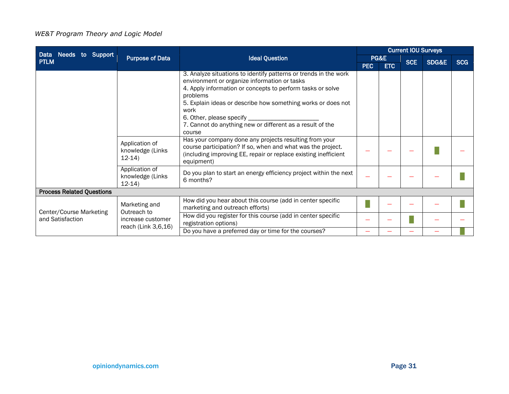| Data Needs to Support                                                                          |                                          |                                                                                                                                                                                                                                                                                                                                                                          | <b>Current IOU Surveys</b> |                    |            |                  |            |
|------------------------------------------------------------------------------------------------|------------------------------------------|--------------------------------------------------------------------------------------------------------------------------------------------------------------------------------------------------------------------------------------------------------------------------------------------------------------------------------------------------------------------------|----------------------------|--------------------|------------|------------------|------------|
| <b>Purpose of Data</b><br><b>PTLM</b>                                                          |                                          | <b>Ideal Question</b>                                                                                                                                                                                                                                                                                                                                                    | <b>PEC</b>                 | PG&E<br><b>ETC</b> | <b>SCE</b> | <b>SDG&amp;E</b> | <b>SCG</b> |
|                                                                                                |                                          | 3. Analyze situations to identify patterns or trends in the work<br>environment or organize information or tasks<br>4. Apply information or concepts to perform tasks or solve<br>problems<br>5. Explain ideas or describe how something works or does not<br>work<br>6. Other, please specify __<br>7. Cannot do anything new or different as a result of the<br>course |                            |                    |            |                  |            |
| Application of<br>knowledge (Links<br>$12-14$<br>Application of<br>knowledge (Links<br>$12-14$ |                                          | Has your company done any projects resulting from your<br>course participation? If so, when and what was the project.<br>(including improving EE, repair or replace existing inefficient<br>equipment)                                                                                                                                                                   |                            |                    |            |                  |            |
|                                                                                                |                                          | Do you plan to start an energy efficiency project within the next<br>6 months?                                                                                                                                                                                                                                                                                           |                            |                    |            |                  |            |
| <b>Process Related Questions</b>                                                               |                                          |                                                                                                                                                                                                                                                                                                                                                                          |                            |                    |            |                  |            |
| Center/Course Marketing<br>and Satisfaction                                                    | Marketing and<br>Outreach to             | How did you hear about this course (add in center specific<br>marketing and outreach efforts)                                                                                                                                                                                                                                                                            |                            |                    |            |                  |            |
|                                                                                                | increase customer<br>reach (Link 3,6,16) | How did you register for this course (add in center specific<br>registration options)                                                                                                                                                                                                                                                                                    |                            |                    |            |                  |            |
|                                                                                                |                                          | Do you have a preferred day or time for the courses?                                                                                                                                                                                                                                                                                                                     |                            |                    |            |                  |            |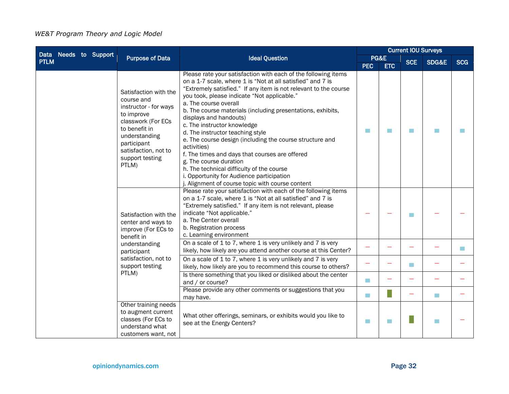|                                      |                                                                                                                                                                                                       | <b>Ideal Question</b>                                                                                                                                                                                                                                                                                                                                                                                                                                                                                                                                                                                                                                                                                                                     |             | <b>Current IOU Surveys</b> |            |                             |            |  |
|--------------------------------------|-------------------------------------------------------------------------------------------------------------------------------------------------------------------------------------------------------|-------------------------------------------------------------------------------------------------------------------------------------------------------------------------------------------------------------------------------------------------------------------------------------------------------------------------------------------------------------------------------------------------------------------------------------------------------------------------------------------------------------------------------------------------------------------------------------------------------------------------------------------------------------------------------------------------------------------------------------------|-------------|----------------------------|------------|-----------------------------|------------|--|
| Data Needs to Support<br><b>PTLM</b> | <b>Purpose of Data</b>                                                                                                                                                                                |                                                                                                                                                                                                                                                                                                                                                                                                                                                                                                                                                                                                                                                                                                                                           |             | PG&E                       |            | SDG&E                       | <b>SCG</b> |  |
|                                      |                                                                                                                                                                                                       |                                                                                                                                                                                                                                                                                                                                                                                                                                                                                                                                                                                                                                                                                                                                           | <b>PEC</b>  | <b>ETC</b>                 | <b>SCE</b> |                             |            |  |
|                                      | Satisfaction with the<br>course and<br>instructor - for ways<br>to improve<br>classwork (For ECs<br>to benefit in<br>understanding<br>participant<br>satisfaction, not to<br>support testing<br>PTLM) | Please rate your satisfaction with each of the following items<br>on a 1-7 scale, where 1 is "Not at all satisfied" and 7 is<br>"Extremely satisfied." If any item is not relevant to the course<br>you took, please indicate "Not applicable."<br>a. The course overall<br>b. The course materials (including presentations, exhibits,<br>displays and handouts)<br>c. The instructor knowledge<br>d. The instructor teaching style<br>e. The course design (including the course structure and<br>activities)<br>f. The times and days that courses are offered<br>g. The course duration<br>h. The technical difficulty of the course<br>i. Opportunity for Audience participation<br>j. Alignment of course topic with course content | T.          | m                          | m          |                             |            |  |
|                                      | Satisfaction with the<br>center and ways to<br>improve (For ECs to<br>benefit in<br>understanding<br>participant<br>satisfaction, not to<br>support testing                                           | Please rate your satisfaction with each of the following items<br>on a 1-7 scale, where 1 is "Not at all satisfied" and 7 is<br>"Extremely satisfied." If any item is not relevant, please<br>indicate "Not applicable."<br>a. The Center overall<br>b. Registration process<br>c. Learning environment                                                                                                                                                                                                                                                                                                                                                                                                                                   |             |                            | m          |                             |            |  |
|                                      |                                                                                                                                                                                                       | On a scale of 1 to 7, where 1 is very unlikely and 7 is very<br>likely, how likely are you attend another course at this Center?                                                                                                                                                                                                                                                                                                                                                                                                                                                                                                                                                                                                          |             |                            |            |                             | <b>I</b>   |  |
|                                      |                                                                                                                                                                                                       | On a scale of 1 to 7, where 1 is very unlikely and 7 is very<br>likely, how likely are you to recommend this course to others?                                                                                                                                                                                                                                                                                                                                                                                                                                                                                                                                                                                                            |             |                            | <b>T</b>   |                             |            |  |
|                                      | PTLM)                                                                                                                                                                                                 | Is there something that you liked or disliked about the center<br>and / or course?                                                                                                                                                                                                                                                                                                                                                                                                                                                                                                                                                                                                                                                        | <b>Tale</b> |                            |            |                             |            |  |
|                                      |                                                                                                                                                                                                       | Please provide any other comments or suggestions that you<br>may have.                                                                                                                                                                                                                                                                                                                                                                                                                                                                                                                                                                                                                                                                    | Т.          |                            |            | $\mathcal{L}_{\mathcal{A}}$ |            |  |
|                                      | Other training needs<br>to augment current<br>classes (For ECs to<br>understand what<br>customers want, not                                                                                           | What other offerings, seminars, or exhibits would you like to<br>see at the Energy Centers?                                                                                                                                                                                                                                                                                                                                                                                                                                                                                                                                                                                                                                               | $\sim$      | <b>I</b>                   |            |                             |            |  |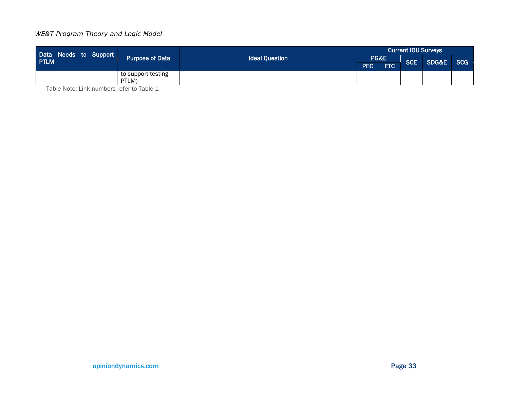| Data Needs to Support<br><b>PTLM</b> | Purpose of Data 1  | <b>Ideal Question</b> | <b>Current IOU Surveys</b> |            |     |           |  |
|--------------------------------------|--------------------|-----------------------|----------------------------|------------|-----|-----------|--|
|                                      |                    |                       | PG&E                       |            | SCE | SDG&E SCG |  |
|                                      |                    |                       | <b>PEC</b>                 | <b>ETC</b> |     |           |  |
|                                      | to support testing |                       |                            |            |     |           |  |
|                                      | PTLM)<br>.         |                       |                            |            |     |           |  |

Table Note: Link numbers refer to Table 1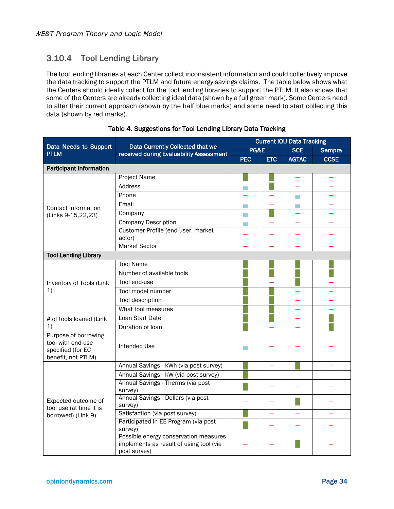### 3.10.4 Tool Lending Library

The tool lending libraries at each Center collect inconsistent information and could collectively improve the data tracking to support the PTLM and future energy savings claims. The table below shows what the Centers should ideally collect for the tool lending libraries to support the PTLM. It also shows that some of the Centers are already collecting ideal data (shown by a full green mark). Some Centers need to alter their current approach (shown by the half blue marks) and some need to start collecting this data (shown by red marks).

<span id="page-37-0"></span>

|                                                                                      |                                                                                                  | <b>Current IOU Data Tracking</b> |            |                  |             |  |  |  |
|--------------------------------------------------------------------------------------|--------------------------------------------------------------------------------------------------|----------------------------------|------------|------------------|-------------|--|--|--|
| Data Needs to Support<br><b>PTLM</b>                                                 | Data Currently Collected that we<br>received during Evaluability Assessment                      | PG&E                             |            | <b>SCE</b>       | Sempra      |  |  |  |
|                                                                                      |                                                                                                  | <b>PEC</b>                       | <b>ETC</b> | <b>AGTAC</b>     | <b>CCSE</b> |  |  |  |
| <b>Participant Information</b>                                                       |                                                                                                  |                                  |            |                  |             |  |  |  |
|                                                                                      | Project Name                                                                                     |                                  |            |                  |             |  |  |  |
|                                                                                      | Address                                                                                          |                                  |            |                  |             |  |  |  |
|                                                                                      | Phone                                                                                            |                                  |            | <b>The State</b> |             |  |  |  |
| Contact Information                                                                  | Email                                                                                            | m.                               |            | m.               |             |  |  |  |
| (Links 9-15,22,23)                                                                   | Company                                                                                          | <b>Tale</b>                      |            |                  |             |  |  |  |
|                                                                                      | <b>Company Description</b>                                                                       | $\sim$                           |            |                  |             |  |  |  |
|                                                                                      | Customer Profile (end-user, market<br>actor)                                                     |                                  |            |                  |             |  |  |  |
|                                                                                      | Market Sector                                                                                    |                                  |            |                  |             |  |  |  |
| <b>Tool Lending Library</b>                                                          |                                                                                                  |                                  |            |                  |             |  |  |  |
|                                                                                      | <b>Tool Name</b>                                                                                 |                                  |            |                  |             |  |  |  |
|                                                                                      | Number of available tools                                                                        |                                  |            |                  |             |  |  |  |
| Inventory of Tools (Link                                                             | Tool end-use                                                                                     |                                  |            |                  |             |  |  |  |
| 1)                                                                                   | Tool model number                                                                                |                                  |            |                  |             |  |  |  |
|                                                                                      | Tool description                                                                                 |                                  |            |                  |             |  |  |  |
|                                                                                      | What tool measures                                                                               |                                  |            |                  |             |  |  |  |
| # of tools loaned (Link                                                              | Loan Start Date                                                                                  |                                  |            |                  |             |  |  |  |
| 1)                                                                                   | Duration of Ioan                                                                                 |                                  |            |                  |             |  |  |  |
| Purpose of borrowing<br>tool with end-use<br>specified (for EC<br>benefit, not PTLM) | <b>Intended Use</b>                                                                              |                                  |            |                  |             |  |  |  |
|                                                                                      | Annual Savings - kWh (via post survey)                                                           |                                  |            |                  |             |  |  |  |
|                                                                                      | Annual Savings - kW (via post survey)                                                            |                                  |            |                  |             |  |  |  |
|                                                                                      | Annual Savings - Therms (via post<br>survey)                                                     |                                  |            |                  |             |  |  |  |
| Expected outcome of<br>tool use (at time it is                                       | Annual Savings - Dollars (via post<br>survey)                                                    |                                  |            |                  |             |  |  |  |
| borrowed) (Link 9)                                                                   | Satisfaction (via post survey)                                                                   |                                  |            |                  |             |  |  |  |
|                                                                                      | Participated in EE Program (via post<br>survey)                                                  |                                  |            |                  |             |  |  |  |
|                                                                                      | Possible energy conservation measures<br>implements as result of using tool (via<br>post survey) |                                  |            |                  |             |  |  |  |

Table 4. Suggestions for Tool Lending Library Data Tracking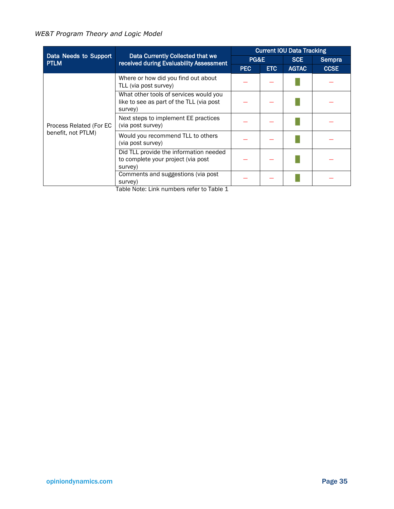|                                      |                                                                                                  | <b>Current IOU Data Tracking</b> |            |              |             |  |  |  |
|--------------------------------------|--------------------------------------------------------------------------------------------------|----------------------------------|------------|--------------|-------------|--|--|--|
| Data Needs to Support<br><b>PTLM</b> | Data Currently Collected that we<br>received during Evaluability Assessment                      | PG&E                             |            | <b>SCE</b>   | Sempra      |  |  |  |
|                                      |                                                                                                  | <b>PEC</b>                       | <b>ETC</b> | <b>AGTAC</b> | <b>CCSE</b> |  |  |  |
|                                      | Where or how did you find out about<br>TLL (via post survey)                                     |                                  |            |              |             |  |  |  |
|                                      | What other tools of services would you<br>like to see as part of the TLL (via post<br>survey)    |                                  |            |              |             |  |  |  |
| Process Related (For EC              | Next steps to implement EE practices<br>(via post survey)                                        |                                  |            |              |             |  |  |  |
| benefit, not PTLM)                   | Would you recommend TLL to others<br>(via post survey)                                           |                                  |            |              |             |  |  |  |
|                                      | Did TLL provide the information needed<br>to complete your project (via post<br>survey)          |                                  |            |              |             |  |  |  |
|                                      | Comments and suggestions (via post)<br>survey)<br>Table Nets: Light property we selected Table 4 |                                  |            |              |             |  |  |  |

Table Note: Link numbers refer to Table 1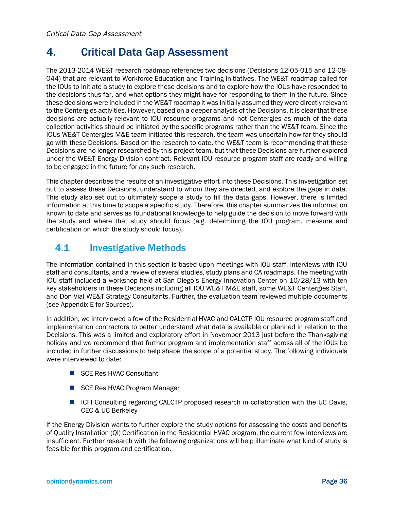## <span id="page-39-0"></span>4. Critical Data Gap Assessment

The 2013-2014 WE&T research roadmap references two decisions (Decisions 12-05-015 and 12-08- 044) that are relevant to Workforce Education and Training initiatives. The WE&T roadmap called for the IOUs to initiate a study to explore these decisions and to explore how the IOUs have responded to the decisions thus far, and what options they might have for responding to them in the future. Since these decisions were included in the WE&T roadmap it was initially assumed they were directly relevant to the Centergies activities. However, based on a deeper analysis of the Decisions, it is clear that these decisions are actually relevant to IOU resource programs and not Centergies as much of the data collection activities should be initiated by the specific programs rather than the WE&T team. Since the IOUs WE&T Centergies M&E team initiated this research, the team was uncertain how far they should go with these Decisions. Based on the research to date, the WE&T team is recommending that these Decisions are no longer researched by this project team, but that these Decisions are further explored under the WE&T Energy Division contract. Relevant IOU resource program staff are ready and willing to be engaged in the future for any such research.

This chapter describes the results of an investigative effort into these Decisions. This investigation set out to assess these Decisions, understand to whom they are directed, and explore the gaps in data. This study also set out to ultimately scope a study to fill the data gaps. However, there is limited information at this time to scope a specific study. Therefore, this chapter summarizes the information known to date and serves as foundational knowledge to help guide the decision to move forward with the study and where that study should focus (e.g. determining the IOU program, measure and certification on which the study should focus).

## <span id="page-39-1"></span>4.1 Investigative Methods

The information contained in this section is based upon meetings with IOU staff, interviews with IOU staff and consultants, and a review of several studies, study plans and CA roadmaps. The meeting with IOU staff included a workshop held at San Diego's Energy Innovation Center on 10/28/13 with ten key stakeholders in these Decisions including all IOU WE&T M&E staff, some WE&T Centergies Staff, and Don Vial WE&T Strategy Consultants. Further, the evaluation team reviewed multiple documents (see [Appendix E](#page-56-0) for Sources).

In addition, we interviewed a few of the Residential HVAC and CALCTP IOU resource program staff and implementation contractors to better understand what data is available or planned in relation to the Decisions. This was a limited and exploratory effort in November 2013 just before the Thanksgiving holiday and we recommend that further program and implementation staff across all of the IOUs be included in further discussions to help shape the scope of a potential study. The following individuals were interviewed to date:

- SCE Res HVAC Consultant
- SCE Res HVAC Program Manager
- ICFI Consulting regarding CALCTP proposed research in collaboration with the UC Davis, CEC & UC Berkeley

If the Energy Division wants to further explore the study options for assessing the costs and benefits of Quality Installation (QI) Certification in the Residential HVAC program, the current few interviews are insufficient. Further research with the following organizations will help illuminate what kind of study is feasible for this program and certification.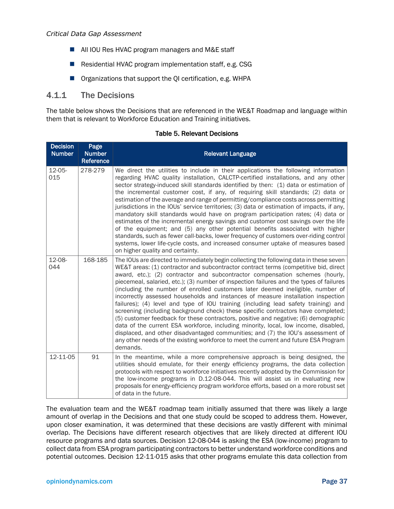#### *Critical Data Gap Assessment*

- All IOU Res HVAC program managers and M&E staff
- Residential HVAC program implementation staff, e.g. CSG
- Organizations that support the QI certification, e.g. WHPA

### 4.1.1 The Decisions

The table below shows the Decisions that are referenced in the WE&T Roadmap and language within them that is relevant to Workforce Education and Training initiatives.

<span id="page-40-0"></span>

| <b>Decision</b><br><b>Number</b> | Page<br><b>Number</b><br>Reference | <b>Relevant Language</b>                                                                                                                                                                                                                                                                                                                                                                                                                                                                                                                                                                                                                                                                                                                                                                                                                                                                                                                                                                                                                                                         |
|----------------------------------|------------------------------------|----------------------------------------------------------------------------------------------------------------------------------------------------------------------------------------------------------------------------------------------------------------------------------------------------------------------------------------------------------------------------------------------------------------------------------------------------------------------------------------------------------------------------------------------------------------------------------------------------------------------------------------------------------------------------------------------------------------------------------------------------------------------------------------------------------------------------------------------------------------------------------------------------------------------------------------------------------------------------------------------------------------------------------------------------------------------------------|
| 12-05-<br>015                    | 278-279                            | We direct the utilities to include in their applications the following information<br>regarding HVAC quality installation, CALCTP-certified installations, and any other<br>sector strategy-induced skill standards identified by then: (1) data or estimation of<br>the incremental customer cost, if any, of requiring skill standards; (2) data or<br>estimation of the average and range of permitting/compliance costs across permitting<br>jurisdictions in the IOUs' service territories; (3) data or estimation of impacts, if any,<br>mandatory skill standards would have on program participation rates; (4) data or<br>estimates of the incremental energy savings and customer cost savings over the life<br>of the equipment; and (5) any other potential benefits associated with higher<br>standards, such as fewer call-backs, lower frequency of customers over-riding control<br>systems, lower life-cycle costs, and increased consumer uptake of measures based<br>on higher quality and certainty.                                                         |
| 12-08-<br>044                    | 168-185                            | The IOUs are directed to immediately begin collecting the following data in these seven<br>WE&T areas: (1) contractor and subcontractor contract terms (competitive bid, direct<br>award, etc.); (2) contractor and subcontractor compensation schemes (hourly,<br>piecemeal, salaried, etc.); (3) number of inspection failures and the types of failures<br>(including the number of enrolled customers later deemed ineligible, number of<br>incorrectly assessed households and instances of measure installation inspection<br>failures); (4) level and type of IOU training (including lead safety training) and<br>screening (including background check) these specific contractors have completed;<br>(5) customer feedback for these contractors, positive and negative; (6) demographic<br>data of the current ESA workforce, including minority, local, low income, disabled,<br>displaced, and other disadvantaged communities; and (7) the IOU's assessment of<br>any other needs of the existing workforce to meet the current and future ESA Program<br>demands. |
| 12-11-05                         | 91                                 | In the meantime, while a more comprehensive approach is being designed, the<br>utilities should emulate, for their energy efficiency programs, the data collection<br>protocols with respect to workforce initiatives recently adopted by the Commission for<br>the low-income programs in D.12-08-044. This will assist us in evaluating new<br>proposals for energy-efficiency program workforce efforts, based on a more robust set<br>of data in the future.                                                                                                                                                                                                                                                                                                                                                                                                                                                                                                                                                                                                                 |

#### Table 5. Relevant Decisions

The evaluation team and the WE&T roadmap team initially assumed that there was likely a large amount of overlap in the Decisions and that one study could be scoped to address them. However, upon closer examination, it was determined that these decisions are vastly different with minimal overlap. The Decisions have different research objectives that are likely directed at different IOU resource programs and data sources. Decision 12-08-044 is asking the ESA (low-income) program to collect data from ESA program participating contractors to better understand workforce conditions and potential outcomes. Decision 12-11-015 asks that other programs emulate this data collection from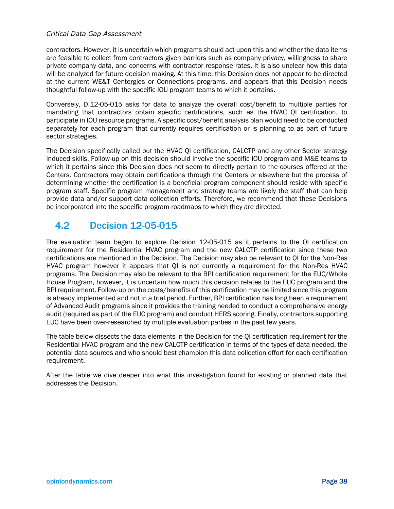#### *Critical Data Gap Assessment*

contractors. However, it is uncertain which programs should act upon this and whether the data items are feasible to collect from contractors given barriers such as company privacy, willingness to share private company data, and concerns with contractor response rates. It is also unclear how this data will be analyzed for future decision making. At this time, this Decision does not appear to be directed at the current WE&T Centergies or Connections programs, and appears that this Decision needs thoughtful follow-up with the specific IOU program teams to which it pertains.

Conversely, D.12-05-015 asks for data to analyze the overall cost/benefit to multiple parties for mandating that contractors obtain specific certifications, such as the HVAC QI certification, to participate in IOU resource programs. A specific cost/benefit analysis plan would need to be conducted separately for each program that currently requires certification or is planning to as part of future sector strategies.

The Decision specifically called out the HVAC QI certification, CALCTP and any other Sector strategy induced skills. Follow-up on this decision should involve the specific IOU program and M&E teams to which it pertains since this Decision does not seem to directly pertain to the courses offered at the Centers. Contractors may obtain certifications through the Centers or elsewhere but the process of determining whether the certification is a beneficial program component should reside with specific program staff. Specific program management and strategy teams are likely the staff that can help provide data and/or support data collection efforts. Therefore, we recommend that these Decisions be incorporated into the specific program roadmaps to which they are directed.

## <span id="page-41-0"></span>4.2 Decision 12-05-015

The evaluation team began to explore Decision 12-05-015 as it pertains to the QI certification requirement for the Residential HVAC program and the new CALCTP certification since these two certifications are mentioned in the Decision. The Decision may also be relevant to QI for the Non-Res HVAC program however it appears that QI is not currently a requirement for the Non-Res HVAC programs. The Decision may also be relevant to the BPI certification requirement for the EUC/Whole House Program, however, it is uncertain how much this decision relates to the EUC program and the BPI requirement. Follow-up on the costs/benefits of this certification may be limited since this program is already implemented and not in a trial period. Further, BPI certification has long been a requirement of Advanced Audit programs since it provides the training needed to conduct a comprehensive energy audit (required as part of the EUC program) and conduct HERS scoring. Finally, contractors supporting EUC have been over-researched by multiple evaluation parties in the past few years.

The table below dissects the data elements in the Decision for the QI certification requirement for the Residential HVAC program and the new CALCTP certification in terms of the types of data needed, the potential data sources and who should best champion this data collection effort for each certification requirement.

After the table we dive deeper into what this investigation found for existing or planned data that addresses the Decision.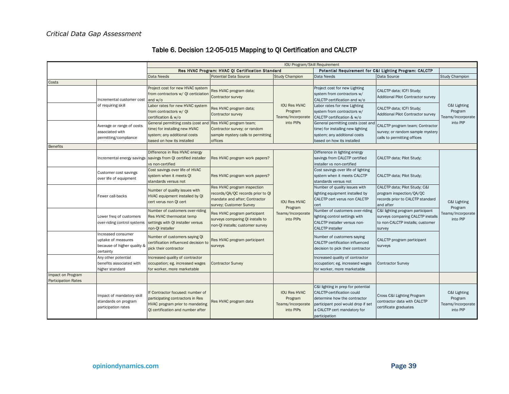<span id="page-42-0"></span>

|                                                 |                                                                                      | IOU Program/Skill Requirement                                                                                                                |                                                                                                                              |                                                                  |                                                                                                                                                                                               |                                                                                                                     |                                                          |  |  |
|-------------------------------------------------|--------------------------------------------------------------------------------------|----------------------------------------------------------------------------------------------------------------------------------------------|------------------------------------------------------------------------------------------------------------------------------|------------------------------------------------------------------|-----------------------------------------------------------------------------------------------------------------------------------------------------------------------------------------------|---------------------------------------------------------------------------------------------------------------------|----------------------------------------------------------|--|--|
|                                                 |                                                                                      |                                                                                                                                              | Res HVAC Program: HVAC QI Certification Standard                                                                             |                                                                  | Potential Requirement for C&I Lighting Program: CALCTP                                                                                                                                        |                                                                                                                     |                                                          |  |  |
|                                                 |                                                                                      | Data Needs                                                                                                                                   | <b>Potential Data Source</b>                                                                                                 | <b>Study Champion</b>                                            | Data Needs                                                                                                                                                                                    | Data Source                                                                                                         | <b>Study Champion</b>                                    |  |  |
| Costs                                           |                                                                                      |                                                                                                                                              |                                                                                                                              |                                                                  |                                                                                                                                                                                               |                                                                                                                     |                                                          |  |  |
|                                                 | Incremental customer cost                                                            | Project cost for new HVAC system<br>from contractors w/ QI certiciation<br>and $w/o$                                                         | Res HVAC program data;<br>Contractor survey                                                                                  |                                                                  | Project cost for new Lighting<br>system from contractors w/<br>CALCTP certification and w/o                                                                                                   | CALCTP data; ICFI Study;<br>Additional Pilot Contractor survey                                                      |                                                          |  |  |
|                                                 | of requiring skill                                                                   | Labor rates for new HVAC system<br>from contractors w/ QI<br>certification & w/o                                                             | Res HVAC program data;<br>Contractor survey                                                                                  | <b>IOU Res HVAC</b><br>Program<br>Teams/Incorporate              | Labor rates for new Lighting<br>system from contractors w/<br>CALCTP certification & w/o                                                                                                      | CALCTP data; ICFI Study;<br><b>Additional Pilot Contractor survey</b>                                               | C&I Lighting<br>Program<br>Teams/Incorporate             |  |  |
|                                                 | Average or range of costs<br>associated with<br>permitting/compliance                | General permitting costs (cost and<br>time) for installing new HVAC<br>system; any additional costs<br>based on how its installed            | Res HVAC program team;<br>Contractor survey; or random<br>sample mystery calls to permitting<br>offices                      | into PIPs                                                        | General permitting costs (cost and<br>time) for installing new lighting<br>system; any additional costs<br>based on how its installed                                                         | CALCTP program team; Contractor<br>survey; or random sample mystery<br>calls to permitting offices                  | into PIP                                                 |  |  |
| <b>Benefits</b>                                 |                                                                                      |                                                                                                                                              |                                                                                                                              |                                                                  |                                                                                                                                                                                               |                                                                                                                     |                                                          |  |  |
|                                                 |                                                                                      | Difference in Res HVAC energy<br>Incremental energy savings savings from QI certified installer<br>vs non-certified                          | Res HVAC program work papers?                                                                                                |                                                                  | Difference in lighting energy<br>savings from CALCTP certified<br>installer vs non-certified                                                                                                  | CALCTP data; Pilot Study;                                                                                           |                                                          |  |  |
|                                                 | Customer cost savings<br>over life of equipment                                      | Cost savings over life of HVAC<br>system when it meets QI<br>standards versus not                                                            | Res HVAC program work papers?                                                                                                |                                                                  | Cost savings over life of lighting<br>system when it meets CALCTP<br>standards versus not                                                                                                     | CALCTP data; Pilot Study;                                                                                           |                                                          |  |  |
|                                                 | Fewer call-backs                                                                     | Number of quality issues with<br>HVAC equipment installed by QI<br>cert verus non QI cert                                                    | Res HVAC program inspection<br>records/QA/QC records prior to QI<br>mandate and after; Contractor<br>survey; Customer Survey | <b>IOU Res HVAC</b>                                              | Number of quality issues with<br>ighting equipment installed by<br>CALCTP cert verus non CALCTP<br>cert                                                                                       | CALCTP data; Pilot Study; C&I<br>program inspection/QA/QC<br>records prior to CALCTP standard<br>and after          | C&I Lighting<br>Program                                  |  |  |
|                                                 | Lower freg of customers<br>over-riding control systems                               | Number of customers over-riding<br>Res HVAC thermostat temp<br>settings with QI installer versus<br>non-QI installer                         | Res HVAC program participant<br>surveys comparing QI installs to<br>non-QI installs; customer survey                         | Program<br>Teams/Incorporate<br>into PIPs                        | Number of customers over-riding<br>ighting control settings with<br>CALCTP installer versus non-<br><b>CALCTP</b> installer                                                                   | C&I lighting program participant<br>surveys comparing CALCTP installs<br>to non-CALCTP installs; customer<br>survey | Teams/Incorporate<br>into PIP                            |  |  |
|                                                 | Increased consumer<br>uptake of measures<br>because of higher quality &<br>certainty | Number of customers saying QI<br>certification influenced decision to<br>pick their contractor                                               | Res HVAC program participant<br>surveys                                                                                      |                                                                  | Number of customers saying<br><b>CALCTP</b> certification influenced<br>decision to pick their contractor                                                                                     | CALCTP program participant<br>surveys                                                                               |                                                          |  |  |
|                                                 | Any other potential<br>benefits associated with<br>higher standard                   | Increased quality of contractor<br>occupation; eg. increased wages<br>for worker, more marketable                                            | <b>Contractor Survey</b>                                                                                                     |                                                                  | Increased quality of contractor<br>occupation; eg. increased wages<br>for worker, more marketable                                                                                             | <b>Contractor Survey</b>                                                                                            |                                                          |  |  |
| Impact on Program<br><b>Participation Rates</b> |                                                                                      |                                                                                                                                              |                                                                                                                              |                                                                  |                                                                                                                                                                                               |                                                                                                                     |                                                          |  |  |
|                                                 | Impact of mandatory skill<br>standards on program<br>participation rates             | If Contractor focused: number of<br>participating contractors in Res<br>HVAC program prior to mandating<br>OI certification and number after | Res HVAC program data                                                                                                        | <b>IOU Res HVAC</b><br>Program<br>Teams/Incorporate<br>into PIPs | C&I lighting in prep for potential<br><b>CALCTP-certification could</b><br>determine how the contractor<br>participant pool would drop if set<br>a CALCTP cert mandatory for<br>participation | Cross C&I Lighting Program<br>contractor data with CALCTP<br>certificate graduates                                  | C&I Lighting<br>Program<br>Teams/Incorporate<br>into PIP |  |  |

### Table 6. Decision 12-05-015 Mapping to QI Certification and CALCTP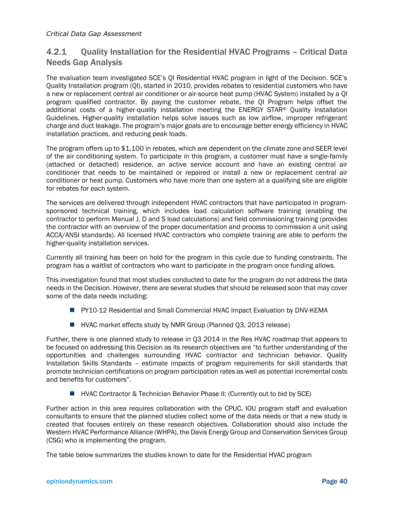### 4.2.1 Quality Installation for the Residential HVAC Programs – Critical Data Needs Gap Analysis

The evaluation team investigated SCE's QI Residential HVAC program in light of the Decision. SCE's Quality Installation program (QI), started in 2010, provides rebates to residential customers who have a new or replacement central air conditioner or air-source heat pump (HVAC System) installed by a QI program qualified contractor. By paying the customer rebate, the QI Program helps offset the additional costs of a higher-quality installation meeting the ENERGY STAR® Quality Installation Guidelines. Higher-quality installation helps solve issues such as low airflow, improper refrigerant charge and duct leakage. The program's major goals are to encourage better energy efficiency in HVAC installation practices, and reducing peak loads.

The program offers up to \$1,100 in rebates, which are dependent on the climate zone and SEER level of the air conditioning system. To participate in this program, a customer must have a single-family (attached or detached) residence, an active service account and have an existing central air conditioner that needs to be maintained or repaired or install a new or replacement central air conditioner or heat pump. Customers who have more than one system at a qualifying site are eligible for rebates for each system.

The services are delivered through independent HVAC contractors that have participated in programsponsored technical training, which includes load calculation software training (enabling the contractor to perform Manual J, D and S load calculations) and field commissioning training (provides the contractor with an overview of the proper documentation and process to commission a unit using ACCA/ANSI standards). All licensed HVAC contractors who complete training are able to perform the higher-quality installation services.

Currently all training has been on hold for the program in this cycle due to funding constraints. The program has a waitlist of contractors who want to participate in the program once funding allows.

This investigation found that most studies conducted to date for the program do not address the data needs in the Decision. However, there are several studies that should be released soon that may cover some of the data needs including:

- **PY10-12 Residential and Small Commercial HVAC Impact Evaluation by DNV-KEMA**
- HVAC market effects study by NMR Group (Planned Q3, 2013 release)

Further, there is one planned study to release in Q3 2014 in the Res HVAC roadmap that appears to be focused on addressing this Decision as its research objectives are "to further understanding of the opportunities and challenges surrounding HVAC contractor and technician behavior. Quality Installation Skills Standards – estimate impacts of program requirements for skill standards that promote technician certifications on program participation rates as well as potential incremental costs and benefits for customers".

**HVAC Contractor & Technician Behavior Phase II: (Currently out to bid by SCE)** 

Further action in this area requires collaboration with the CPUC, IOU program staff and evaluation consultants to ensure that the planned studies collect some of the data needs or that a new study is created that focuses entirely on these research objectives. Collaboration should also include the Western HVAC Performance Alliance (WHPA), the Davis Energy Group and Conservation Services Group (CSG) who is implementing the program.

The table below summarizes the studies known to date for the Residential HVAC program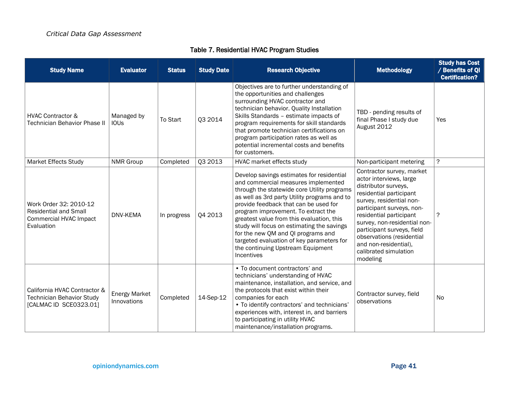<span id="page-44-0"></span>

| <b>Study Name</b>                                                                              | <b>Evaluator</b>                    | <b>Status</b> | <b>Study Date</b> | <b>Research Objective</b>                                                                                                                                                                                                                                                                                                                                                                                                                                                                        | <b>Methodology</b>                                                                                                                                                                                                                                                                                                                                   | <b>Study has Cost</b><br>/ Benefits of QI<br><b>Certification?</b> |
|------------------------------------------------------------------------------------------------|-------------------------------------|---------------|-------------------|--------------------------------------------------------------------------------------------------------------------------------------------------------------------------------------------------------------------------------------------------------------------------------------------------------------------------------------------------------------------------------------------------------------------------------------------------------------------------------------------------|------------------------------------------------------------------------------------------------------------------------------------------------------------------------------------------------------------------------------------------------------------------------------------------------------------------------------------------------------|--------------------------------------------------------------------|
| <b>HVAC Contractor &amp;</b><br><b>Technician Behavior Phase II</b>                            | Managed by<br><b>IOUs</b>           | To Start      | Q3 2014           | Objectives are to further understanding of<br>the opportunities and challenges<br>surrounding HVAC contractor and<br>technician behavior. Quality Installation<br>Skills Standards - estimate impacts of<br>program requirements for skill standards<br>that promote technician certifications on<br>program participation rates as well as<br>potential incremental costs and benefits<br>for customers.                                                                                        | TBD - pending results of<br>final Phase I study due<br>August 2012                                                                                                                                                                                                                                                                                   | Yes                                                                |
| <b>Market Effects Study</b>                                                                    | <b>NMR Group</b>                    | Completed     | Q3 2013           | HVAC market effects study                                                                                                                                                                                                                                                                                                                                                                                                                                                                        | Non-participant metering                                                                                                                                                                                                                                                                                                                             | ?                                                                  |
| Work Order 32: 2010-12<br><b>Residential and Small</b><br>Commercial HVAC Impact<br>Evaluation | DNV-KEMA                            | In progress   | Q4 2013           | Develop savings estimates for residential<br>and commercial measures implemented<br>through the statewide core Utility programs<br>as well as 3rd party Utility programs and to<br>provide feedback that can be used for<br>program improvement. To extract the<br>greatest value from this evaluation, this<br>study will focus on estimating the savings<br>for the new QM and QI programs and<br>targeted evaluation of key parameters for<br>the continuing Upstream Equipment<br>Incentives | Contractor survey, market<br>actor interviews, large<br>distributor surveys,<br>residential participant<br>survey, residential non-<br>participant surveys, non-<br>residential participant<br>survey, non-residential non-<br>participant surveys, field<br>observations (residential<br>and non-residential),<br>calibrated simulation<br>modeling | $\ddot{?}$                                                         |
| California HVAC Contractor &<br><b>Technician Behavior Study</b><br>[CALMAC ID SCE0323.01]     | <b>Energy Market</b><br>Innovations | Completed     | 14-Sep-12         | • To document contractors' and<br>technicians' understanding of HVAC<br>maintenance, installation, and service, and<br>the protocols that exist within their<br>companies for each<br>• To identify contractors' and technicians'<br>experiences with, interest in, and barriers<br>to participating in utility HVAC<br>maintenance/installation programs.                                                                                                                                       | Contractor survey, field<br>observations                                                                                                                                                                                                                                                                                                             | No                                                                 |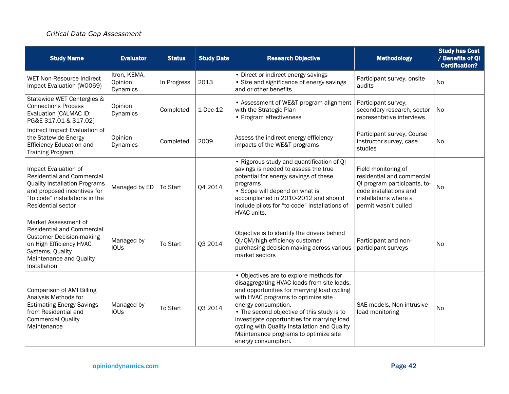### *Critical Data Gap Assessment*

| <b>Study Name</b>                                                                                                                                                                        | <b>Evaluator</b>                    | <b>Status</b> | <b>Study Date</b> | <b>Research Objective</b>                                                                                                                                                                                                                                                                                                                                                                                        | <b>Methodology</b>                                                                                                                                           | <b>Study has Cost</b><br>/ Benefits of QI<br><b>Certification?</b> |
|------------------------------------------------------------------------------------------------------------------------------------------------------------------------------------------|-------------------------------------|---------------|-------------------|------------------------------------------------------------------------------------------------------------------------------------------------------------------------------------------------------------------------------------------------------------------------------------------------------------------------------------------------------------------------------------------------------------------|--------------------------------------------------------------------------------------------------------------------------------------------------------------|--------------------------------------------------------------------|
| WET Non-Resource Indirect<br>Impact Evaluation (WO069)                                                                                                                                   | Itron, KEMA,<br>Opinion<br>Dynamics | In Progress   | 2013              | • Direct or indirect energy savings<br>• Size and significance of energy savings<br>and or other benefits                                                                                                                                                                                                                                                                                                        | Participant survey, onsite<br>audits                                                                                                                         | <b>No</b>                                                          |
| Statewide WET Centergies &<br><b>Connections Process</b><br>Evaluation [CALMAC ID:<br>PG&E 317.01 & 317.02]                                                                              | Opinion<br>Dynamics                 | Completed     | $1-Dec-12$        | • Assessment of WE&T program alignment<br>with the Strategic Plan<br>• Program effectiveness                                                                                                                                                                                                                                                                                                                     | Participant survey,<br>secondary research, sector<br>representative interviews                                                                               | No                                                                 |
| Indirect Impact Evaluation of<br>the Statewide Energy<br><b>Efficiency Education and</b><br><b>Training Program</b>                                                                      | Opinion<br>Dynamics                 | Completed     | 2009              | Assess the indirect energy efficiency<br>impacts of the WE&T programs                                                                                                                                                                                                                                                                                                                                            | Participant survey, Course<br>instructor survey, case<br>studies                                                                                             | No                                                                 |
| Impact Evaluation of<br><b>Residential and Commercial</b><br><b>Quality Installation Programs</b><br>and proposed incentives for<br>"to code" installations in the<br>Residential sector | Managed by ED                       | To Start      | Q4 2014           | • Rigorous study and quantification of QI<br>savings is needed to assess the true<br>potential for energy savings of these<br>programs<br>• Scope will depend on what is<br>accomplished in 2010-2012 and should<br>include pilots for "to-code" installations of<br>HVAC units.                                                                                                                                 | Field monitoring of<br>residential and commercial<br>QI program participants, to-<br>code installations and<br>installations where a<br>permit wasn't pulled | No                                                                 |
| Market Assessment of<br><b>Residential and Commercial</b><br><b>Customer Decision-making</b><br>on High Efficiency HVAC<br>Systems, Quality<br>Maintenance and Quality<br>Installation   | Managed by<br><b>IOUs</b>           | To Start      | Q3 2014           | Objective is to identify the drivers behind<br>QI/QM/high efficiency customer<br>purchasing decision-making across various<br>market sectors                                                                                                                                                                                                                                                                     | Participant and non-<br>participant surveys                                                                                                                  | No                                                                 |
| <b>Comparison of AMI Billing</b><br>Analysis Methods for<br><b>Estimating Energy Savings</b><br>from Residential and<br><b>Commercial Quality</b><br>Maintenance                         | Managed by<br><b>IOUs</b>           | To Start      | <b>Q3 2014</b>    | • Objectives are to explore methods for<br>disaggregating HVAC loads from site loads,<br>and opportunities for marrying load cycling<br>with HVAC programs to optimize site<br>energy consumption.<br>• The second objective of this study is to<br>investigate opportunities for marrying load<br>cycling with Quality Installation and Quality<br>Maintenance programs to optimize site<br>energy consumption. | SAE models, Non-intrusive<br>load monitoring                                                                                                                 | No                                                                 |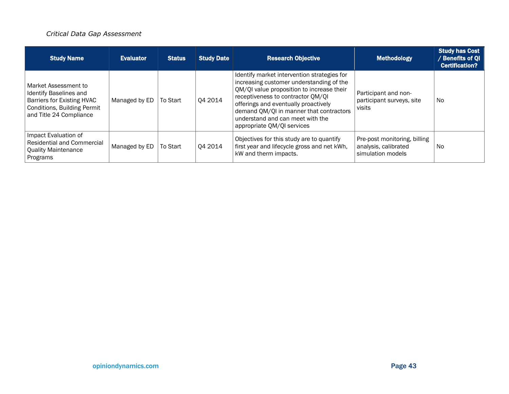### *Critical Data Gap Assessment*

| <b>Study Name</b>                                                                                                                             | <b>Evaluator</b> | <b>Status</b> | <b>Study Date</b> | <b>Research Objective</b>                                                                                                                                                                                                                                                                                                      | <b>Methodology</b>                                                        | <b>Study has Cost</b><br>/ Benefits of QI<br><b>Certification?</b> |
|-----------------------------------------------------------------------------------------------------------------------------------------------|------------------|---------------|-------------------|--------------------------------------------------------------------------------------------------------------------------------------------------------------------------------------------------------------------------------------------------------------------------------------------------------------------------------|---------------------------------------------------------------------------|--------------------------------------------------------------------|
| Market Assessment to<br>Identify Baselines and<br>Barriers for Existing HVAC<br><b>Conditions, Building Permit</b><br>and Title 24 Compliance | Managed by ED    | To Start      | Q4 2014           | Identify market intervention strategies for<br>increasing customer understanding of the<br>QM/QI value proposition to increase their<br>receptiveness to contractor QM/QI<br>offerings and eventually proactively<br>demand QM/QI in manner that contractors<br>understand and can meet with the<br>appropriate QM/QI services | Participant and non-<br>participant surveys, site<br>visits               | <b>No</b>                                                          |
| Impact Evaluation of<br><b>Residential and Commercial</b><br><b>Quality Maintenance</b><br>Programs                                           | Managed by ED    | To Start      | Q4 2014           | Objectives for this study are to quantify<br>first year and lifecycle gross and net kWh,<br>kW and therm impacts.                                                                                                                                                                                                              | Pre-post monitoring, billing<br>analysis, calibrated<br>simulation models | <b>No</b>                                                          |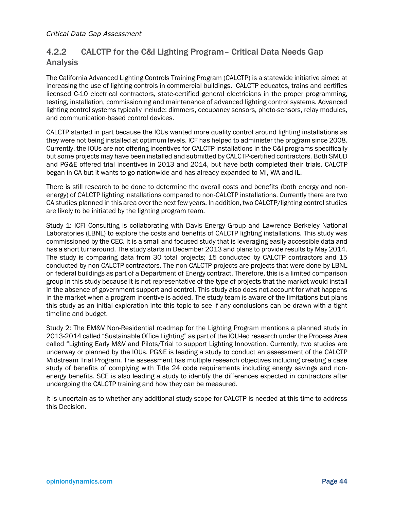## 4.2.2 CALCTP for the C&I Lighting Program– Critical Data Needs Gap Analysis

The California Advanced Lighting Controls Training Program (CALCTP) is a statewide initiative aimed at increasing the use of lighting controls in commercial buildings. CALCTP educates, trains and certifies licensed C-10 electrical contractors, state-certified general electricians in the proper programming, testing, installation, commissioning and maintenance of advanced lighting control systems. Advanced lighting control systems typically include: dimmers, occupancy sensors, photo-sensors, relay modules, and communication-based control devices.

CALCTP started in part because the IOUs wanted more quality control around lighting installations as they were not being installed at optimum levels. ICF has helped to administer the program since 2008. Currently, the IOUs are not offering incentives for CALCTP installations in the C&I programs specifically but some projects may have been installed and submitted by CALCTP-certified contractors. Both SMUD and PG&E offered trial incentives in 2013 and 2014, but have both completed their trials. CALCTP began in CA but it wants to go nationwide and has already expanded to MI, WA and IL.

There is still research to be done to determine the overall costs and benefits (both energy and nonenergy) of CALCTP lighting installations compared to non-CALCTP installations. Currently there are two CA studies planned in this area over the next few years. In addition, two CALCTP/lighting control studies are likely to be initiated by the lighting program team.

Study 1: ICFI Consulting is collaborating with Davis Energy Group and Lawrence Berkeley National Laboratories (LBNL) to explore the costs and benefits of CALCTP lighting installations. This study was commissioned by the CEC. It is a small and focused study that is leveraging easily accessible data and has a short turnaround. The study starts in December 2013 and plans to provide results by May 2014. The study is comparing data from 30 total projects; 15 conducted by CALCTP contractors and 15 conducted by non-CALCTP contractors. The non-CALCTP projects are projects that were done by LBNL on federal buildings as part of a Department of Energy contract. Therefore, this is a limited comparison group in this study because it is not representative of the type of projects that the market would install in the absence of government support and control. This study also does not account for what happens in the market when a program incentive is added. The study team is aware of the limitations but plans this study as an initial exploration into this topic to see if any conclusions can be drawn with a tight timeline and budget.

Study 2: The EM&V Non-Residential roadmap for the Lighting Program mentions a planned study in 2013-2014 called "Sustainable Office Lighting" as part of the IOU-led research under the Process Area called "Lighting Early M&V and Pilots/Trial to support Lighting Innovation. Currently, two studies are underway or planned by the IOUs. PG&E is leading a study to conduct an assessment of the CALCTP Midstream Trial Program. The assessment has multiple research objectives including creating a case study of benefits of complying with Title 24 code requirements including energy savings and nonenergy benefits. SCE is also leading a study to identify the differences expected in contractors after undergoing the CALCTP training and how they can be measured.

It is uncertain as to whether any additional study scope for CALCTP is needed at this time to address this Decision.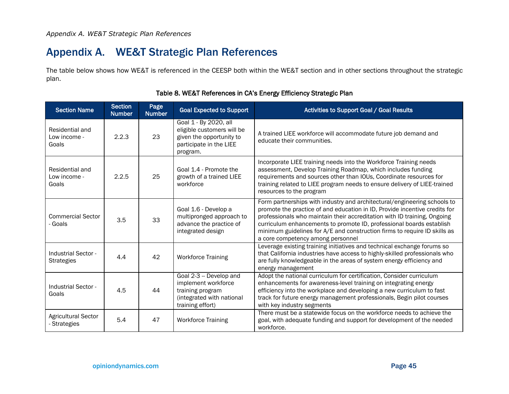## Appendix A. WE&T Strategic Plan References

The table below shows how WE&T is referenced in the CEESP both within the WE&T section and in other sections throughout the strategic plan.

<span id="page-48-1"></span><span id="page-48-0"></span>

| <b>Section Name</b>                                   | <b>Section</b><br><b>Number</b> | Page<br><b>Number</b>                                                                                  | <b>Goal Expected to Support</b>                                                                                                                                                                                                                    | Activities to Support Goal / Goal Results                                                                                                                                                                                                                                                                                                                                                                                    |
|-------------------------------------------------------|---------------------------------|--------------------------------------------------------------------------------------------------------|----------------------------------------------------------------------------------------------------------------------------------------------------------------------------------------------------------------------------------------------------|------------------------------------------------------------------------------------------------------------------------------------------------------------------------------------------------------------------------------------------------------------------------------------------------------------------------------------------------------------------------------------------------------------------------------|
| Residential and<br>Low income -<br>Goals              | 2.2.3                           | 23                                                                                                     | Goal 1 - By 2020, all<br>eligible customers will be<br>given the opportunity to<br>participate in the LIEE<br>program.                                                                                                                             | A trained LIEE workforce will accommodate future job demand and<br>educate their communities.                                                                                                                                                                                                                                                                                                                                |
| Residential and<br>Low income -<br>Goals              | 2.2.5                           | 25                                                                                                     | Goal 1.4 - Promote the<br>growth of a trained LIEE<br>workforce                                                                                                                                                                                    | Incorporate LIEE training needs into the Workforce Training needs<br>assessment, Develop Training Roadmap, which includes funding<br>requirements and sources other than IOUs, Coordinate resources for<br>training related to LIEE program needs to ensure delivery of LIEE-trained<br>resources to the program                                                                                                             |
| <b>Commercial Sector</b><br>- Goals                   | 3.5                             | Goal 1.6 - Develop a<br>multipronged approach to<br>33<br>advance the practice of<br>integrated design |                                                                                                                                                                                                                                                    | Form partnerships with industry and architectural/engineering schools to<br>promote the practice of and education in ID, Provide incentive credits for<br>professionals who maintain their accreditation with ID training, Ongoing<br>curriculum enhancements to promote ID, professional boards establish<br>minimum guidelines for A/E and construction firms to require ID skills as<br>a core competency among personnel |
| Industrial Sector -<br>4.4<br>42<br><b>Strategies</b> |                                 | <b>Workforce Training</b>                                                                              | Leverage existing training initiatives and technical exchange forums so<br>that California industries have access to highly-skilled professionals who<br>are fully knowledgeable in the areas of system energy efficiency and<br>energy management |                                                                                                                                                                                                                                                                                                                                                                                                                              |
| Industrial Sector -<br>Goals                          | 4.5                             | 44                                                                                                     | Goal 2-3 -- Develop and<br>implement workforce<br>training program<br>(integrated with national<br>training effort)                                                                                                                                | Adopt the national curriculum for certification, Consider curriculum<br>enhancements for awareness-level training on integrating energy<br>efficiency into the workplace and developing a new curriculum to fast<br>track for future energy management professionals, Begin pilot courses<br>with key industry segments                                                                                                      |
| <b>Agricultural Sector</b><br>- Strategies            | 5.4                             | 47                                                                                                     | <b>Workforce Training</b>                                                                                                                                                                                                                          | There must be a statewide focus on the workforce needs to achieve the<br>goal, with adequate funding and support for development of the needed<br>workforce.                                                                                                                                                                                                                                                                 |

#### Table 8. WE&T References in CA's Energy Efficiency Strategic Plan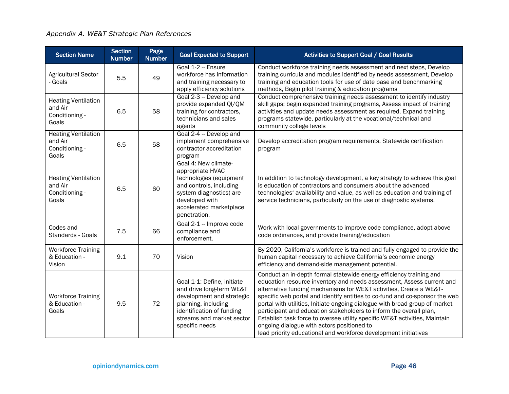| <b>Section</b><br>Page<br><b>Section Name</b><br><b>Number</b><br><b>Number</b> |                                                                                 | <b>Goal Expected to Support</b> | <b>Activities to Support Goal / Goal Results</b>                                                                                                                                       |                                                                                                                                                                                                                                                                                                                                                                                                                                                                                                                                                                                                                                                       |  |  |  |  |
|---------------------------------------------------------------------------------|---------------------------------------------------------------------------------|---------------------------------|----------------------------------------------------------------------------------------------------------------------------------------------------------------------------------------|-------------------------------------------------------------------------------------------------------------------------------------------------------------------------------------------------------------------------------------------------------------------------------------------------------------------------------------------------------------------------------------------------------------------------------------------------------------------------------------------------------------------------------------------------------------------------------------------------------------------------------------------------------|--|--|--|--|
| <b>Agricultural Sector</b><br>- Goals                                           | 5.5                                                                             | 49                              | Goal 1-2 - Ensure<br>workforce has information<br>and training necessary to<br>apply efficiency solutions                                                                              | Conduct workforce training needs assessment and next steps, Develop<br>training curricula and modules identified by needs assessment, Develop<br>training and education tools for use of date base and benchmarking<br>methods, Begin pilot training & education programs                                                                                                                                                                                                                                                                                                                                                                             |  |  |  |  |
| <b>Heating Ventilation</b><br>and Air<br>Conditioning -<br>Goals                | 6.5<br>58                                                                       |                                 | Goal 2-3 - Develop and<br>provide expanded QI/QM<br>training for contractors,<br>technicians and sales<br>agents                                                                       | Conduct comprehensive training needs assessment to identify industry<br>skill gaps; begin expanded training programs, Assess impact of training<br>activities and update needs assessment as required, Expand training<br>programs statewide, particularly at the vocational/technical and<br>community college levels                                                                                                                                                                                                                                                                                                                                |  |  |  |  |
| <b>Heating Ventilation</b><br>and Air<br>Conditioning -<br>Goals                | 6.5                                                                             | 58                              | Goal 2-4 -- Develop and<br>implement comprehensive<br>contractor accreditation<br>program                                                                                              | Develop accreditation program requirements, Statewide certification<br>program                                                                                                                                                                                                                                                                                                                                                                                                                                                                                                                                                                        |  |  |  |  |
| <b>Heating Ventilation</b><br>and Air<br>Conditioning -<br>Goals                | 6.5                                                                             | 60                              | Goal 4: New climate-<br>appropriate HVAC<br>technologies (equipment<br>and controls, including<br>system diagnostics) are<br>developed with<br>accelerated marketplace<br>penetration. | In addition to technology development, a key strategy to achieve this goal<br>is education of contractors and consumers about the advanced<br>technologies' availability and value, as well as education and training of<br>service technicians, particularly on the use of diagnostic systems.                                                                                                                                                                                                                                                                                                                                                       |  |  |  |  |
| Codes and<br>Standards - Goals                                                  | 7.5                                                                             | 66                              | Goal 2-1 -- Improve code<br>compliance and<br>enforcement.                                                                                                                             | Work with local governments to improve code compliance, adopt above<br>code ordinances, and provide training/education                                                                                                                                                                                                                                                                                                                                                                                                                                                                                                                                |  |  |  |  |
| <b>Workforce Training</b><br>& Education -<br>Vision                            | 9.1                                                                             | 70                              | Vision                                                                                                                                                                                 | By 2020, California's workforce is trained and fully engaged to provide the<br>human capital necessary to achieve California's economic energy<br>efficiency and demand-side management potential.                                                                                                                                                                                                                                                                                                                                                                                                                                                    |  |  |  |  |
| <b>Workforce Training</b><br>& Education -<br>Goals                             | 9.5<br>72<br>planning, including<br>identification of funding<br>specific needs |                                 | Goal 1-1: Define, initiate<br>and drive long-term WE&T<br>development and strategic<br>streams and market sector                                                                       | Conduct an in-depth formal statewide energy efficiency training and<br>education resource inventory and needs assessment, Assess current and<br>alternative funding mechanisms for WE&T activities, Create a WE&T-<br>specific web portal and identify entities to co-fund and co-sponsor the web<br>portal with utilities, Initiate ongoing dialogue with broad group of market<br>participant and education stakeholders to inform the overall plan,<br>Establish task force to oversee utility specific WE&T activities, Maintain<br>ongoing dialogue with actors positioned to<br>lead priority educational and workforce development initiatives |  |  |  |  |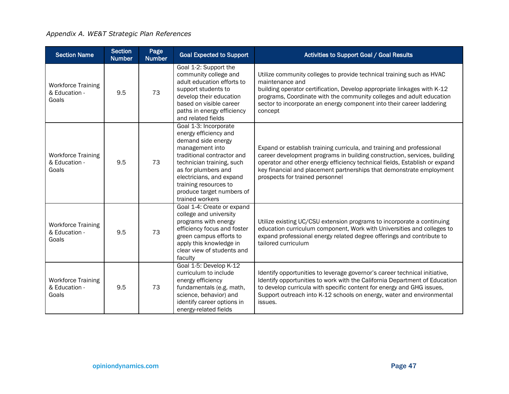### *Appendix A. WE&T Strategic Plan References*

| <b>Section Name</b>                                        | <b>Section</b><br><b>Number</b> | Page<br><b>Number</b> | <b>Goal Expected to Support</b>                                                                                                                                                                                                                                                | Activities to Support Goal / Goal Results                                                                                                                                                                                                                                                                                                  |
|------------------------------------------------------------|---------------------------------|-----------------------|--------------------------------------------------------------------------------------------------------------------------------------------------------------------------------------------------------------------------------------------------------------------------------|--------------------------------------------------------------------------------------------------------------------------------------------------------------------------------------------------------------------------------------------------------------------------------------------------------------------------------------------|
| <b>Workforce Training</b><br>& Education -<br>Goals        | 9.5                             | 73                    | Goal 1-2: Support the<br>community college and<br>adult education efforts to<br>support students to<br>develop their education<br>based on visible career<br>paths in energy efficiency<br>and related fields                                                                  | Utilize community colleges to provide technical training such as HVAC<br>maintenance and<br>building operator certification, Develop appropriate linkages with K-12<br>programs, Coordinate with the community colleges and adult education<br>sector to incorporate an energy component into their career laddering<br>concept            |
| <b>Workforce Training</b><br>& Education -<br>Goals        | 9.5                             | 73                    | Goal 1-3: Incorporate<br>energy efficiency and<br>demand side energy<br>management into<br>traditional contractor and<br>technician training, such<br>as for plumbers and<br>electricians, and expand<br>training resources to<br>produce target numbers of<br>trained workers | Expand or establish training curricula, and training and professional<br>career development programs in building construction, services, building<br>operator and other energy efficiency technical fields, Establish or expand<br>key financial and placement partnerships that demonstrate employment<br>prospects for trained personnel |
| <b>Workforce Training</b><br>9.5<br>& Education -<br>Goals |                                 | 73                    | Goal 1-4: Create or expand<br>college and university<br>programs with energy<br>efficiency focus and foster<br>green campus efforts to<br>apply this knowledge in<br>clear view of students and<br>faculty                                                                     | Utilize existing UC/CSU extension programs to incorporate a continuing<br>education curriculum component, Work with Universities and colleges to<br>expand professional energy related degree offerings and contribute to<br>tailored curriculum                                                                                           |
| <b>Workforce Training</b><br>& Education -<br>Goals        | 9.5                             | 73                    | Goal 1-5: Develop K-12<br>curriculum to include<br>energy efficiency<br>fundamentals (e.g. math,<br>science, behavior) and<br>identify career options in<br>energy-related fields                                                                                              | Identify opportunities to leverage governor's career technical initiative,<br>Identify opportunities to work with the California Department of Education<br>to develop curricula with specific content for energy and GHG issues,<br>Support outreach into K-12 schools on energy, water and environmental<br>issues.                      |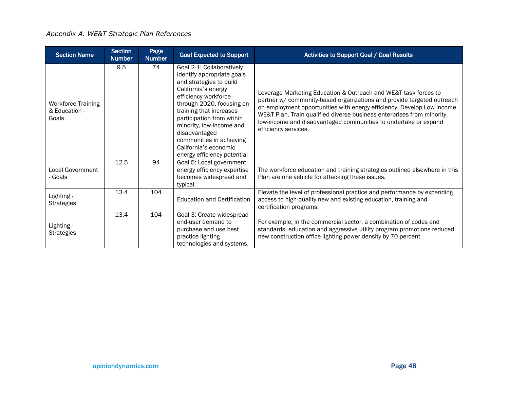| <b>Section</b><br>Page<br><b>Section Name</b><br><b>Goal Expected to Support</b><br><b>Number</b><br><b>Number</b> |      |     | Activities to Support Goal / Goal Results                                                                                                                                                                                                                                                                                                               |                                                                                                                                                                                                                                                                                                                                                                                          |  |  |  |
|--------------------------------------------------------------------------------------------------------------------|------|-----|---------------------------------------------------------------------------------------------------------------------------------------------------------------------------------------------------------------------------------------------------------------------------------------------------------------------------------------------------------|------------------------------------------------------------------------------------------------------------------------------------------------------------------------------------------------------------------------------------------------------------------------------------------------------------------------------------------------------------------------------------------|--|--|--|
| <b>Workforce Training</b><br>& Education -<br>Goals                                                                | 9.5  | 74  | Goal 2-1: Collaboratively<br>identify appropriate goals<br>and strategies to build<br>California's energy<br>efficiency workforce<br>through 2020, focusing on<br>training that increases<br>participation from within<br>minority, low-income and<br>disadvantaged<br>communities in achieving<br>California's economic<br>energy efficiency potential | Leverage Marketing Education & Outreach and WE&T task forces to<br>partner w/ community-based organizations and provide targeted outreach<br>on employment opportunities with energy efficiency, Develop Low Income<br>WE&T Plan. Train qualified diverse business enterprises from minority,<br>low-income and disadvantaged communities to undertake or expand<br>efficiency services. |  |  |  |
| <b>Local Government</b><br>- Goals                                                                                 | 12.5 | 94  | Goal 5: Local government<br>energy efficiency expertise<br>becomes widespread and<br>typical.                                                                                                                                                                                                                                                           | The workforce education and training strategies outlined elsewhere in this<br>Plan are one vehicle for attacking these issues.                                                                                                                                                                                                                                                           |  |  |  |
| Lighting -<br><b>Strategies</b>                                                                                    | 13.4 | 104 | <b>Education and Certification</b>                                                                                                                                                                                                                                                                                                                      | Elevate the level of professional practice and performance by expanding<br>access to high-quality new and existing education, training and<br>certification programs.                                                                                                                                                                                                                    |  |  |  |
| Lighting -<br><b>Strategies</b>                                                                                    | 13.4 | 104 | Goal 3: Create widespread<br>end-user demand to<br>purchase and use best<br>practice lighting<br>technologies and systems.                                                                                                                                                                                                                              | For example, in the commercial sector, a combination of codes and<br>standards, education and aggressive utility program promotions reduced<br>new construction office lighting power density by 70 percent                                                                                                                                                                              |  |  |  |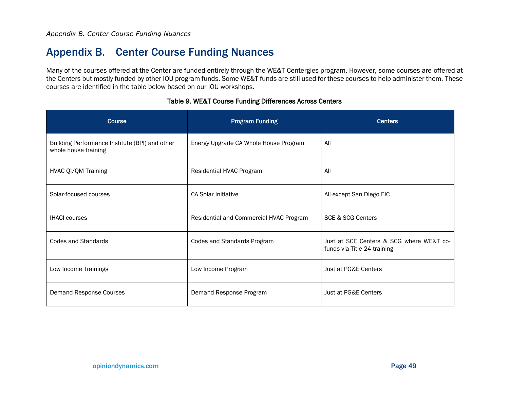## Appendix B. Center Course Funding Nuances

Many of the courses offered at the Center are funded entirely through the WE&T Centergies program. However, some courses are offered at the Centers but mostly funded by other IOU program funds. Some WE&T funds are still used for these courses to help administer them. These courses are identified in the table below based on our IOU workshops.

<span id="page-52-1"></span><span id="page-52-0"></span>

| <b>Course</b>                                                          | <b>Program Funding</b>                  | <b>Centers</b>                                                          |
|------------------------------------------------------------------------|-----------------------------------------|-------------------------------------------------------------------------|
| Building Performance Institute (BPI) and other<br>whole house training | Energy Upgrade CA Whole House Program   | All                                                                     |
| HVAC QI/QM Training                                                    | Residential HVAC Program                | All                                                                     |
| Solar-focused courses                                                  | <b>CA Solar Initiative</b>              | All except San Diego EIC                                                |
| <b>IHACI</b> courses                                                   | Residential and Commercial HVAC Program | <b>SCE &amp; SCG Centers</b>                                            |
| <b>Codes and Standards</b>                                             | Codes and Standards Program             | Just at SCE Centers & SCG where WE&T co-<br>funds via Title 24 training |
| Low Income Trainings                                                   | Low Income Program                      | Just at PG&E Centers                                                    |
| Demand Response Courses                                                | Demand Response Program                 | Just at PG&E Centers                                                    |

#### Table 9. WE&T Course Funding Differences Across Centers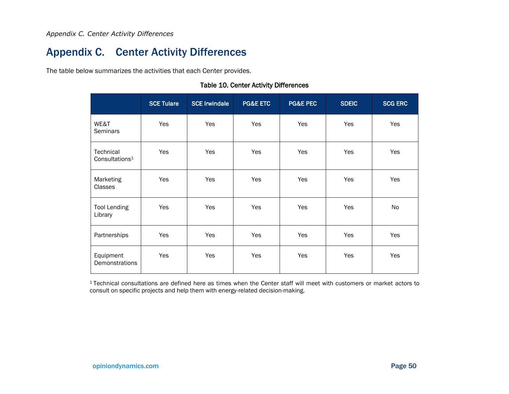## Appendix C. Center Activity Differences

The table below summarizes the activities that each Center provides.

<span id="page-53-0"></span>

|                                         | <b>SCE Tulare</b> | <b>SCE Irwindale</b> | <b>PG&amp;E ETC</b> | <b>PG&amp;E PEC</b> | <b>SDEIC</b> | <b>SCG ERC</b> |
|-----------------------------------------|-------------------|----------------------|---------------------|---------------------|--------------|----------------|
| WE&T<br><b>Seminars</b>                 | Yes               | Yes                  | Yes                 | Yes                 | Yes          | Yes            |
| Technical<br>Consultations <sup>1</sup> | Yes               | Yes                  | Yes                 | Yes                 | Yes          | Yes            |
| Marketing<br>Classes                    | Yes               | Yes                  | Yes                 | Yes                 | Yes          | Yes            |
| <b>Tool Lending</b><br>Library          | Yes               | Yes                  | Yes                 | Yes                 | Yes          | No             |
| Partnerships                            | Yes               | Yes                  | Yes                 | Yes                 | Yes          | Yes            |
| Equipment<br>Demonstrations             | Yes               | Yes                  | Yes                 | Yes                 | Yes          | Yes            |

#### Table 10. Center Activity Differences

<span id="page-53-1"></span><sup>1</sup>Technical consultations are defined here as times when the Center staff will meet with customers or market actors to consult on specific projects and help them with energy-related decision-making.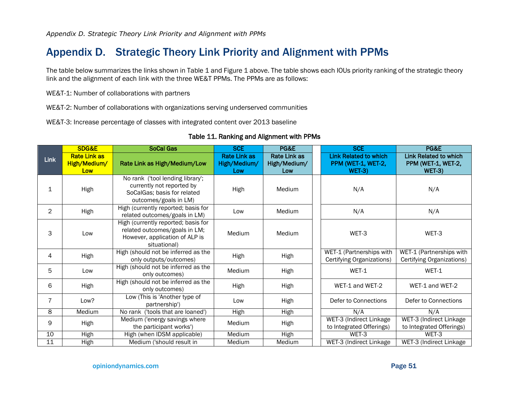## Appendix D. Strategic Theory Link Priority and Alignment with PPMs

The table below summarizes the links shown in [Table 1](#page-17-1) and [Figure 1](#page-16-1) above. The table shows each IOUs priority ranking of the strategic theory link and the alignment of each link with the three WE&T PPMs. The PPMs are as follows:

WE&T-1: Number of collaborations with partners

WE&T-2: Number of collaborations with organizations serving underserved communities

WE&T-3: Increase percentage of classes with integrated content over 2013 baseline

<span id="page-54-1"></span><span id="page-54-0"></span>

|                | SDG&E                                      | <b>SoCal Gas</b>                                                                                                       | <b>SCE</b>                                 | PG&E                                       | <b>SCE</b>                                                    | PG&E                                                          |
|----------------|--------------------------------------------|------------------------------------------------------------------------------------------------------------------------|--------------------------------------------|--------------------------------------------|---------------------------------------------------------------|---------------------------------------------------------------|
| <b>Link</b>    | <b>Rate Link as</b><br>High/Medium/<br>Low | Rate Link as High/Medium/Low                                                                                           | <b>Rate Link as</b><br>High/Medium/<br>Low | <b>Rate Link as</b><br>High/Medium/<br>Low | <b>Link Related to which</b><br>PPM (WET-1, WET-2,<br>$WET-3$ | <b>Link Related to which</b><br>PPM (WET-1, WET-2,<br>$WET-3$ |
| 1              | High                                       | No rank ('tool lending library';<br>currently not reported by<br>SoCalGas; basis for related<br>outcomes/goals in LM)  | High                                       | Medium                                     | N/A                                                           | N/A                                                           |
| $\overline{2}$ | High                                       | High (currently reported; basis for<br>related outcomes/goals in LM)                                                   | Low                                        | Medium                                     | N/A                                                           | N/A                                                           |
| 3              | Low                                        | High (currently reported; basis for<br>related outcomes/goals in LM;<br>However, application of ALP is<br>situational) | Medium                                     | Medium                                     | WET-3                                                         | WET-3                                                         |
| 4              | High                                       | High (should not be inferred as the<br>only outputs/outcomes)                                                          | High                                       | High                                       | WET-1 (Partnerships with<br>Certifying Organizations)         | WET-1 (Partnerships with<br>Certifying Organizations)         |
| 5              | Low                                        | High (should not be inferred as the<br>only outcomes)                                                                  | Medium                                     | High                                       | WET-1                                                         | WET-1                                                         |
| 6              | High                                       | High (should not be inferred as the<br>only outcomes)                                                                  | High                                       | High                                       | WET-1 and WET-2                                               | WET-1 and WET-2                                               |
| $\overline{7}$ | Low?                                       | Low (This is 'Another type of<br>partnership')                                                                         | Low                                        | High                                       | Defer to Connections                                          | Defer to Connections                                          |
| 8              | Medium                                     | No rank ('tools that are loaned')                                                                                      | High                                       | <b>High</b>                                | N/A                                                           | N/A                                                           |
| 9              | High                                       | Medium ('energy savings where<br>the participant works')                                                               | Medium                                     | High                                       | WET-3 (Indirect Linkage<br>to Integrated Offerings)           | WET-3 (Indirect Linkage<br>to Integrated Offerings)           |
| 10             | High                                       | High (when IDSM applicable)                                                                                            | Medium                                     | High                                       | WET-3                                                         | WET-3                                                         |
| 11             | High                                       | Medium ('should result in                                                                                              | Medium                                     | Medium                                     | WET-3 (Indirect Linkage                                       | WET-3 (Indirect Linkage                                       |

#### Table 11. Ranking and Alignment with PPMs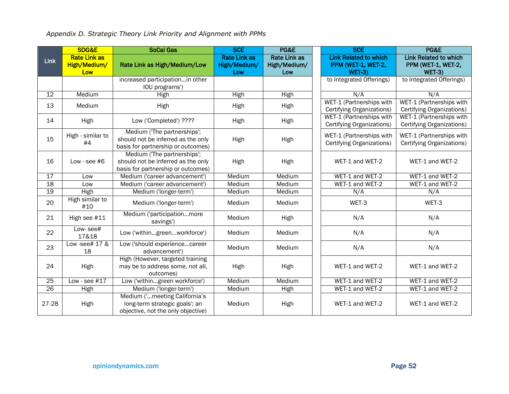*Appendix D. Strategic Theory Link Priority and Alignment with PPMs*

|       | SDG&E                                      | <b>SoCal Gas</b>                                                                                        | <b>SCE</b>                                 | PG&E                                       | <b>SCE</b>                                                          | PG&E                                                                |
|-------|--------------------------------------------|---------------------------------------------------------------------------------------------------------|--------------------------------------------|--------------------------------------------|---------------------------------------------------------------------|---------------------------------------------------------------------|
| Link  | <b>Rate Link as</b><br>High/Medium/<br>Low | Rate Link as High/Medium/Low                                                                            | <b>Rate Link as</b><br>High/Medium/<br>Low | <b>Rate Link as</b><br>High/Medium/<br>Low | <b>Link Related to which</b><br>PPM (WET-1, WET-2,<br><b>WET-3)</b> | <b>Link Related to which</b><br>PPM (WET-1, WET-2,<br><b>WET-3)</b> |
|       |                                            | increased participationin other<br>IOU programs')                                                       |                                            |                                            | to Integrated Offerings)                                            | to Integrated Offerings)                                            |
| 12    | Medium                                     | <b>High</b>                                                                                             | High                                       | High                                       | N/A                                                                 | N/A                                                                 |
| 13    | Medium                                     | High                                                                                                    | High                                       | High                                       | WET-1 (Partnerships with<br>Certifying Organizations)               | WET-1 (Partnerships with<br>Certifying Organizations)               |
| 14    | High                                       | Low ('Completed') ????                                                                                  | High                                       | High                                       | WET-1 (Partnerships with<br>Certifying Organizations)               | WET-1 (Partnerships with<br>Certifying Organizations)               |
| 15    | High - similar to<br>#4                    | Medium ('The partnerships';<br>should not be inferred as the only<br>basis for partnership or outcomes) | High                                       | High                                       | WET-1 (Partnerships with<br>Certifying Organizations)               | WET-1 (Partnerships with<br>Certifying Organizations)               |
| 16    | Low - see $#6$                             | Medium ('The partnerships';<br>should not be inferred as the only<br>basis for partnership or outcomes) | High                                       | High                                       | WET-1 and WET-2                                                     | WET-1 and WET-2                                                     |
| 17    | Low                                        | Medium ('career advancement')                                                                           | Medium                                     | Medium                                     | WET-1 and WET-2                                                     | WET-1 and WET-2                                                     |
| 18    | Low                                        | Medium ('career advancement')                                                                           | Medium                                     | Medium                                     | WET-1 and WET-2                                                     | WET-1 and WET-2                                                     |
| 19    | High                                       | Medium ('longer-term')                                                                                  | Medium                                     | Medium                                     | N/A                                                                 | N/A                                                                 |
| 20    | High similar to<br>#10                     | Medium ('longer-term')                                                                                  | Medium                                     | Medium                                     | WET-3                                                               | WET-3                                                               |
| 21    | High see #11                               | Medium ('participationmore<br>savings')                                                                 | Medium                                     | High                                       | N/A                                                                 | N/A                                                                 |
| 22    | Low-see#<br>17&18                          | Low ('withingreenworkforce')                                                                            | Medium                                     | Medium                                     | N/A                                                                 | N/A                                                                 |
| 23    | Low -see# 17 &<br>18                       | Low ('should experiencecareer<br>advancement')                                                          | Medium                                     | Medium                                     | N/A                                                                 | N/A                                                                 |
| 24    | High                                       | High (However, targeted training<br>may be to address some, not all,<br>outcomes)                       | High                                       | High                                       | WET-1 and WET-2                                                     | WET-1 and WET-2                                                     |
| 25    | Low - see $#17$                            | Low ('withingreen workforce')                                                                           | Medium                                     | Medium                                     | WET-1 and WET-2                                                     | WET-1 and WET-2                                                     |
| 26    | High                                       | Medium ('longer-term')                                                                                  | Medium                                     | High                                       | WET-1 and WET-2                                                     | WET-1 and WET-2                                                     |
| 27-28 | High                                       | Medium ('meeting California's<br>long-term strategic goals'; an<br>objective, not the only objective)   | Medium                                     | High                                       | WET-1 and WET-2                                                     | WET-1 and WET-2                                                     |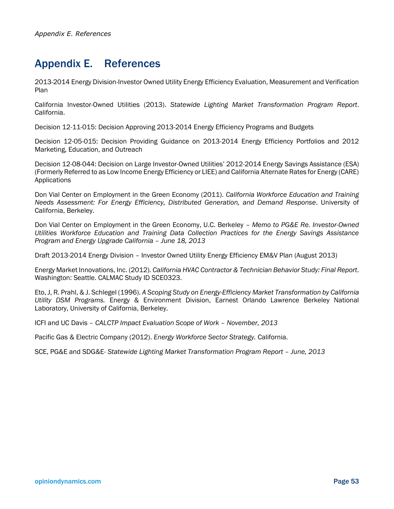## <span id="page-56-0"></span>Appendix E. References

2013-2014 Energy Division-Investor Owned Utility Energy Efficiency Evaluation, Measurement and Verification Plan

California Investor-Owned Utilities (2013). *Statewide Lighting Market Transformation Program Report*. California.

Decision 12-11-015: Decision Approving 2013-2014 Energy Efficiency Programs and Budgets

Decision 12-05-015: Decision Providing Guidance on 2013-2014 Energy Efficiency Portfolios and 2012 Marketing, Education, and Outreach

Decision 12-08-044: Decision on Large Investor-Owned Utilities' 2012-2014 Energy Savings Assistance (ESA) (Formerly Referred to as Low Income Energy Efficiency or LIEE) and California Alternate Rates for Energy (CARE) Applications

Don Vial Center on Employment in the Green Economy (2011). *California Workforce Education and Training Needs Assessment: For Energy Efficiency, Distributed Generation, and Demand Response*. University of California, Berkeley.

Don Vial Center on Employment in the Green Economy, U.C. Berkeley – *Memo to PG&E Re. Investor-Owned Utilities Workforce Education and Training Data Collection Practices for the Energy Savings Assistance Program and Energy Upgrade California – June 18, 2013*

Draft 2013-2014 Energy Division – Investor Owned Utility Energy Efficiency EM&V Plan (August 2013)

Energy Market Innovations, Inc. (2012). *California HVAC Contractor & Technician Behavior Study: Final Report*. Washington: Seattle. CALMAC Study ID SCE0323.

Eto, J, R. Prahl, & J. Schlegel (1996). *A Scoping Study on Energy-Efficiency Market Transformation by California Utility DSM Programs.* Energy & Environment Division, Earnest Orlando Lawrence Berkeley National Laboratory, University of California, Berkeley.

ICFI and UC Davis *– CALCTP Impact Evaluation Scope of Work – November, 2013*

Pacific Gas & Electric Company (2012). *Energy Workforce Sector Strategy.* California.

SCE, PG&E and SDG&E- *Statewide Lighting Market Transformation Program Report – June, 2013*